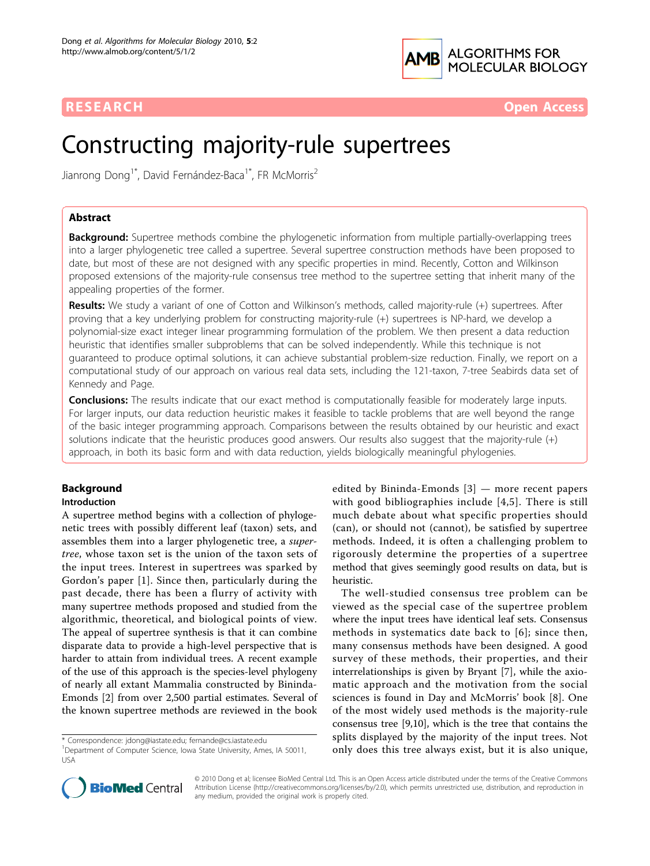# R E S EARCH Open Access

ALGORITHMS FOR<br>MOLECULAR BIOLOGY

# Constructing majority-rule supertrees

Jianrong Dong<sup>1\*</sup>, David Fernández-Baca<sup>1\*</sup>, FR McMorris<sup>2</sup>

# Abstract

**Background:** Supertree methods combine the phylogenetic information from multiple partially-overlapping trees into a larger phylogenetic tree called a supertree. Several supertree construction methods have been proposed to date, but most of these are not designed with any specific properties in mind. Recently, Cotton and Wilkinson proposed extensions of the majority-rule consensus tree method to the supertree setting that inherit many of the appealing properties of the former.

Results: We study a variant of one of Cotton and Wilkinson's methods, called majority-rule (+) supertrees. After proving that a key underlying problem for constructing majority-rule (+) supertrees is NP-hard, we develop a polynomial-size exact integer linear programming formulation of the problem. We then present a data reduction heuristic that identifies smaller subproblems that can be solved independently. While this technique is not guaranteed to produce optimal solutions, it can achieve substantial problem-size reduction. Finally, we report on a computational study of our approach on various real data sets, including the 121-taxon, 7-tree Seabirds data set of Kennedy and Page.

**Conclusions:** The results indicate that our exact method is computationally feasible for moderately large inputs. For larger inputs, our data reduction heuristic makes it feasible to tackle problems that are well beyond the range of the basic integer programming approach. Comparisons between the results obtained by our heuristic and exact solutions indicate that the heuristic produces good answers. Our results also suggest that the majority-rule (+) approach, in both its basic form and with data reduction, yields biologically meaningful phylogenies.

# Background

# Introduction

A supertree method begins with a collection of phylogenetic trees with possibly different leaf (taxon) sets, and assembles them into a larger phylogenetic tree, a supertree, whose taxon set is the union of the taxon sets of the input trees. Interest in supertrees was sparked by Gordon's paper [\[1](#page-14-0)]. Since then, particularly during the past decade, there has been a flurry of activity with many supertree methods proposed and studied from the algorithmic, theoretical, and biological points of view. The appeal of supertree synthesis is that it can combine disparate data to provide a high-level perspective that is harder to attain from individual trees. A recent example of the use of this approach is the species-level phylogeny of nearly all extant Mammalia constructed by Bininda-Emonds [\[2](#page-14-0)] from over 2,500 partial estimates. Several of the known supertree methods are reviewed in the book

edited by Bininda-Emonds [[3](#page-14-0)] — more recent papers with good bibliographies include [[4](#page-14-0),[5](#page-14-0)]. There is still much debate about what specific properties should (can), or should not (cannot), be satisfied by supertree methods. Indeed, it is often a challenging problem to rigorously determine the properties of a supertree method that gives seemingly good results on data, but is heuristic.

The well-studied consensus tree problem can be viewed as the special case of the supertree problem where the input trees have identical leaf sets. Consensus methods in systematics date back to [[6\]](#page-14-0); since then, many consensus methods have been designed. A good survey of these methods, their properties, and their interrelationships is given by Bryant [\[7](#page-14-0)], while the axiomatic approach and the motivation from the social sciences is found in Day and McMorris' book [[8\]](#page-14-0). One of the most widely used methods is the majority-rule consensus tree [\[9,10](#page-14-0)], which is the tree that contains the splits displayed by the majority of the input trees. Not only does this tree always exist, but it is also unique,



© 2010 Dong et al; licensee BioMed Central Ltd. This is an Open Access article distributed under the terms of the Creative Commons Attribution License [\(http://creativecommons.org/licenses/by/2.0](http://creativecommons.org/licenses/by/2.0)), which permits unrestricted use, distribution, and reproduction in any medium, provided the original work is properly cited.

<sup>\*</sup> Correspondence: [jdong@iastate.edu;](mailto:jdong@iastate.edu) [fernande@cs.iastate.edu](mailto:fernande@cs.iastate.edu)

<sup>&</sup>lt;sup>1</sup>Department of Computer Science, Iowa State University, Ames, IA 50011, USA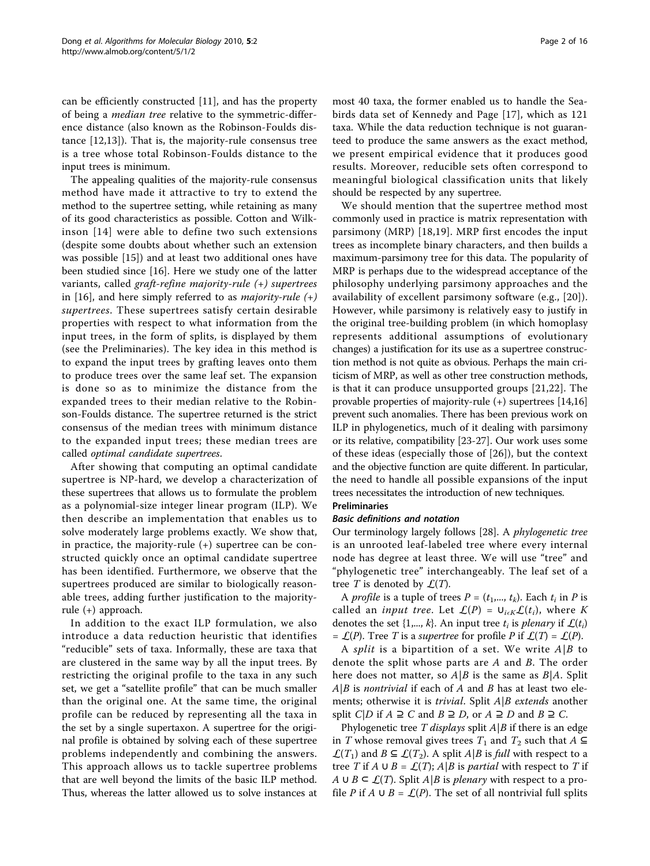can be efficiently constructed [\[11](#page-14-0)], and has the property of being a median tree relative to the symmetric-difference distance (also known as the Robinson-Foulds distance [\[12](#page-14-0),[13\]](#page-14-0)). That is, the majority-rule consensus tree is a tree whose total Robinson-Foulds distance to the input trees is minimum.

The appealing qualities of the majority-rule consensus method have made it attractive to try to extend the method to the supertree setting, while retaining as many of its good characteristics as possible. Cotton and Wilkinson [[14](#page-14-0)] were able to define two such extensions (despite some doubts about whether such an extension was possible [[15\]](#page-14-0)) and at least two additional ones have been studied since [\[16](#page-14-0)]. Here we study one of the latter variants, called graft-refine majority-rule (+) supertrees in [\[16](#page-14-0)], and here simply referred to as *majority-rule*  $(+)$ supertrees. These supertrees satisfy certain desirable properties with respect to what information from the input trees, in the form of splits, is displayed by them (see the Preliminaries). The key idea in this method is to expand the input trees by grafting leaves onto them to produce trees over the same leaf set. The expansion is done so as to minimize the distance from the expanded trees to their median relative to the Robinson-Foulds distance. The supertree returned is the strict consensus of the median trees with minimum distance to the expanded input trees; these median trees are called optimal candidate supertrees.

After showing that computing an optimal candidate supertree is NP-hard, we develop a characterization of these supertrees that allows us to formulate the problem as a polynomial-size integer linear program (ILP). We then describe an implementation that enables us to solve moderately large problems exactly. We show that, in practice, the majority-rule  $(+)$  supertree can be constructed quickly once an optimal candidate supertree has been identified. Furthermore, we observe that the supertrees produced are similar to biologically reasonable trees, adding further justification to the majorityrule (+) approach.

In addition to the exact ILP formulation, we also introduce a data reduction heuristic that identifies "reducible" sets of taxa. Informally, these are taxa that are clustered in the same way by all the input trees. By restricting the original profile to the taxa in any such set, we get a "satellite profile" that can be much smaller than the original one. At the same time, the original profile can be reduced by representing all the taxa in the set by a single supertaxon. A supertree for the original profile is obtained by solving each of these supertree problems independently and combining the answers. This approach allows us to tackle supertree problems that are well beyond the limits of the basic ILP method. Thus, whereas the latter allowed us to solve instances at most 40 taxa, the former enabled us to handle the Seabirds data set of Kennedy and Page [[17\]](#page-14-0), which as 121 taxa. While the data reduction technique is not guaranteed to produce the same answers as the exact method, we present empirical evidence that it produces good results. Moreover, reducible sets often correspond to meaningful biological classification units that likely should be respected by any supertree.

We should mention that the supertree method most commonly used in practice is matrix representation with parsimony (MRP) [[18,19](#page-14-0)]. MRP first encodes the input trees as incomplete binary characters, and then builds a maximum-parsimony tree for this data. The popularity of MRP is perhaps due to the widespread acceptance of the philosophy underlying parsimony approaches and the availability of excellent parsimony software (e.g., [\[20\]](#page-14-0)). However, while parsimony is relatively easy to justify in the original tree-building problem (in which homoplasy represents additional assumptions of evolutionary changes) a justification for its use as a supertree construction method is not quite as obvious. Perhaps the main criticism of MRP, as well as other tree construction methods, is that it can produce unsupported groups [[21,22](#page-14-0)]. The provable properties of majority-rule (+) supertrees [[14,16](#page-14-0)] prevent such anomalies. There has been previous work on ILP in phylogenetics, much of it dealing with parsimony or its relative, compatibility [[23-27\]](#page-14-0). Our work uses some of these ideas (especially those of [[26\]](#page-14-0)), but the context and the objective function are quite different. In particular, the need to handle all possible expansions of the input trees necessitates the introduction of new techniques. Preliminaries

# Basic definitions and notation

Our terminology largely follows [\[28](#page-14-0)]. A phylogenetic tree is an unrooted leaf-labeled tree where every internal node has degree at least three. We will use "tree" and "phylogenetic tree" interchangeably. The leaf set of a tree T is denoted by  $\mathcal{L}(T)$ .

A *profile* is a tuple of trees  $P = (t_1, \ldots, t_k)$ . Each  $t_i$  in P is called an *input tree*. Let  $\mathcal{L}(P) = \bigcup_{i \in K} \mathcal{L}(t_i)$ , where K denotes the set  $\{1,...,k\}$ . An input tree  $t_i$  is *plenary* if  $\mathcal{L}(t_i)$ =  $\mathcal{L}(P)$ . Tree T is a supertree for profile P if  $\mathcal{L}(T) = \mathcal{L}(P)$ .

A *split* is a bipartition of a set. We write  $A|B$  to denote the split whose parts are  $A$  and  $B$ . The order here does not matter, so  $A|B$  is the same as  $B|A$ . Split  $A|B$  is *nontrivial* if each of A and B has at least two elements; otherwise it is *trivial*. Split  $A|B$  *extends* another split  $C|D$  if  $A \supseteq C$  and  $B \supseteq D$ , or  $A \supseteq D$  and  $B \supseteq C$ .

Phylogenetic tree T displays split  $A|B$  if there is an edge in T whose removal gives trees  $T_1$  and  $T_2$  such that A ⊆  $\mathcal{L}(T_1)$  and  $B \subseteq \mathcal{L}(T_2)$ . A split  $A|B$  is *full* with respect to a tree T if A ∪ B =  $\mathcal{L}(T)$ ; A|B is partial with respect to T if *A* ∪ *B* ⊂  $\mathcal{L}(T)$ . Split *A*|*B* is *plenary* with respect to a profile *P* if *A* ∪ *B* =  $\mathcal{L}(P)$ . The set of all nontrivial full splits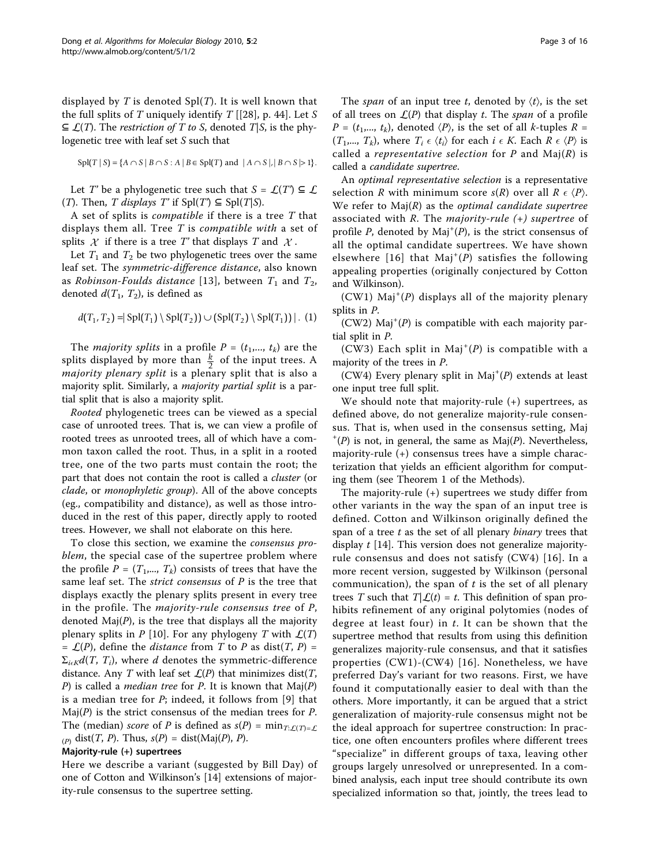displayed by T is denoted  $Spl(T)$ . It is well known that the full splits of T uniquely identify  $T$  [[\[28](#page-14-0)], p. 44]. Let S  $\subseteq L(T)$ . The *restriction of T to S*, denoted *T*|*S*, is the phylogenetic tree with leaf set S such that

$$
Spl(T|S) = \{A \cap S \mid B \cap S : A \mid B \in Spl(T) \text{ and } |A \cap S|, |B \cap S| > 1\}.
$$

Let T' be a phylogenetic tree such that  $S = \mathcal{L}(T') \subseteq \mathcal{L}$ (*T*). Then, *T* displays *T*' if Spl(*T*)  $\subseteq$  Spl(*T*|*S*).

A set of splits is *compatible* if there is a tree  $T$  that displays them all. Tree  $T$  is compatible with a set of splits  $\chi$  if there is a tree T' that displays T and  $\chi$ .

Let  $T_1$  and  $T_2$  be two phylogenetic trees over the same leaf set. The symmetric-difference distance, also known as Robinson-Foulds distance [[13](#page-14-0)], between  $T_1$  and  $T_2$ , denoted  $d(T_1, T_2)$ , is defined as

$$
d(T_1, T_2) = |Spl(T_1) \setminus Spl(T_2)) \cup (Spl(T_2) \setminus Spl(T_1)) | . (1)
$$

The *majority splits* in a profile  $P = (t_1, \ldots, t_k)$  are the splits displayed by more than  $\frac{k}{2}$  of the input trees. A majority plenary split is a plenary split that is also a majority split. Similarly, a *majority partial split* is a partial split that is also a majority split.

Rooted phylogenetic trees can be viewed as a special case of unrooted trees. That is, we can view a profile of rooted trees as unrooted trees, all of which have a common taxon called the root. Thus, in a split in a rooted tree, one of the two parts must contain the root; the part that does not contain the root is called a cluster (or clade, or monophyletic group). All of the above concepts (eg., compatibility and distance), as well as those introduced in the rest of this paper, directly apply to rooted trees. However, we shall not elaborate on this here.

To close this section, we examine the consensus problem, the special case of the supertree problem where the profile  $P = (T_1,..., T_k)$  consists of trees that have the same leaf set. The *strict consensus* of  $P$  is the tree that displays exactly the plenary splits present in every tree in the profile. The majority-rule consensus tree of P, denoted  $\text{Maj}(P)$ , is the tree that displays all the majority plenary splits in P [\[10](#page-14-0)]. For any phylogeny T with  $\mathcal{L}(T)$ =  $\mathcal{L}(P)$ , define the *distance* from T to P as dist(T, P) =  $\Sigma_{i\epsilon\mathcal{K}}d(T, T_i)$ , where d denotes the symmetric-difference distance. Any T with leaf set  $\mathcal{L}(P)$  that minimizes dist(T, P) is called a *median tree* for P. It is known that  $\text{Maj}(P)$ is a median tree for  $P$ ; indeed, it follows from [[9](#page-14-0)] that  $\text{Maj}(P)$  is the strict consensus of the median trees for P. The (median) score of P is defined as  $s(P) = \min_{T: f(T)=\Gamma}$  $_{(P)}$  dist(T, P). Thus,  $s(P) = dist(Mai(P), P)$ .

## Majority-rule (+) supertrees

Here we describe a variant (suggested by Bill Day) of one of Cotton and Wilkinson's [\[14\]](#page-14-0) extensions of majority-rule consensus to the supertree setting.

The *span* of an input tree t, denoted by  $\langle t \rangle$ , is the set of all trees on  $\mathcal{L}(P)$  that display t. The span of a profile  $P = (t_1,..., t_k)$ , denoted  $\langle P \rangle$ , is the set of all k-tuples  $R =$  $(T_1,..., T_k)$ , where  $T_i \in \langle t_i \rangle$  for each  $i \in K$ . Each  $R \in \langle P \rangle$  is called a *representative selection* for  $P$  and  $\text{Maj}(R)$  is called a candidate supertree.

An optimal representative selection is a representative selection R with minimum score  $s(R)$  over all  $R \in \langle P \rangle$ . We refer to  $\text{Maj}(R)$  as the *optimal candidate supertree* associated with R. The *majority-rule*  $(+)$  *supertree* of profile  $P$ , denoted by Maj<sup>+</sup>( $P$ ), is the strict consensus of all the optimal candidate supertrees. We have shown elsewhere [[16\]](#page-14-0) that  $\text{Maj}^{+}(P)$  satisfies the following appealing properties (originally conjectured by Cotton and Wilkinson).

 $(CW1)$  Maj<sup>+</sup>(P) displays all of the majority plenary splits in P.

 $(CW2)$  Maj<sup>+</sup>(P) is compatible with each majority partial split in P.

(CW3) Each split in Maj<sup>+</sup>( $P$ ) is compatible with a majority of the trees in P.

 $(CW4)$  Every plenary split in Maj<sup>+</sup>(P) extends at least one input tree full split.

We should note that majority-rule (+) supertrees, as defined above, do not generalize majority-rule consensus. That is, when used in the consensus setting, Maj  $^{+}(P)$  is not, in general, the same as Maj(P). Nevertheless, majority-rule (+) consensus trees have a simple characterization that yields an efficient algorithm for computing them (see Theorem 1 of the Methods).

The majority-rule (+) supertrees we study differ from other variants in the way the span of an input tree is defined. Cotton and Wilkinson originally defined the span of a tree  $t$  as the set of all plenary *binary* trees that display  $t$  [[14\]](#page-14-0). This version does not generalize majorityrule consensus and does not satisfy (CW4) [\[16\]](#page-14-0). In a more recent version, suggested by Wilkinson (personal communication), the span of  $t$  is the set of all plenary trees T such that  $T|\mathcal{L}(t) = t$ . This definition of span prohibits refinement of any original polytomies (nodes of degree at least four) in  $t$ . It can be shown that the supertree method that results from using this definition generalizes majority-rule consensus, and that it satisfies properties (CW1)-(CW4) [\[16\]](#page-14-0). Nonetheless, we have preferred Day's variant for two reasons. First, we have found it computationally easier to deal with than the others. More importantly, it can be argued that a strict generalization of majority-rule consensus might not be the ideal approach for supertree construction: In practice, one often encounters profiles where different trees "specialize" in different groups of taxa, leaving other groups largely unresolved or unrepresented. In a combined analysis, each input tree should contribute its own specialized information so that, jointly, the trees lead to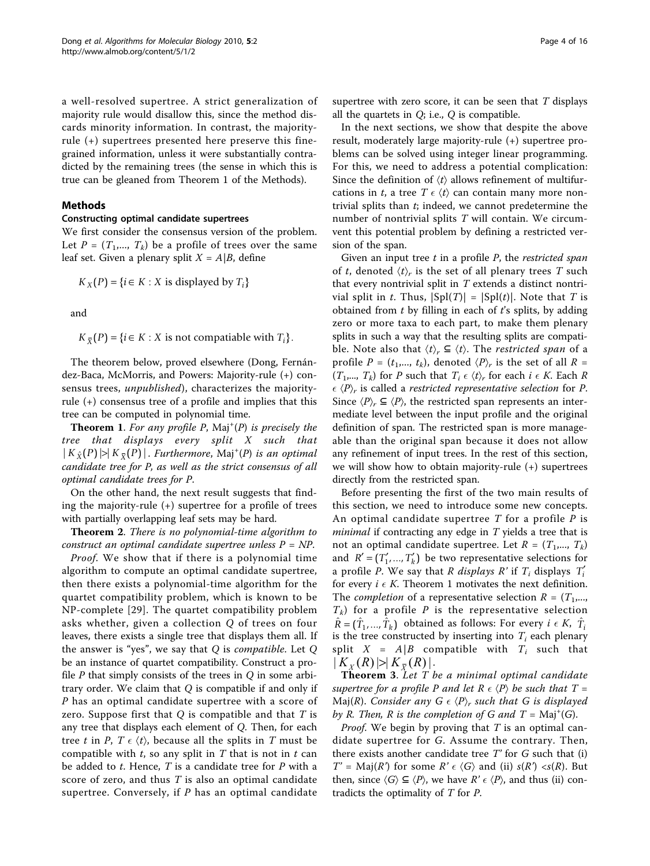a well-resolved supertree. A strict generalization of majority rule would disallow this, since the method discards minority information. In contrast, the majorityrule (+) supertrees presented here preserve this finegrained information, unless it were substantially contradicted by the remaining trees (the sense in which this is true can be gleaned from Theorem 1 of the Methods).

## Methods

## Constructing optimal candidate supertrees

We first consider the consensus version of the problem. Let  $P = (T_1,..., T_k)$  be a profile of trees over the same leaf set. Given a plenary split  $X = A|B$ , define

 $K_X(P) = \{i \in K : X \text{ is displayed by } T_i\}$ 

and

 $K_{\overline{X}}(P) = \{i \in K : X \text{ is not compatible with } T_i\}.$ 

The theorem below, proved elsewhere (Dong, Fernández-Baca, McMorris, and Powers: Majority-rule (+) consensus trees, unpublished), characterizes the majorityrule (+) consensus tree of a profile and implies that this tree can be computed in polynomial time.

**Theorem 1.** For any profile P,  $\text{Maj}^+(P)$  is precisely the tree that displays every split X such that  $| K_{\hat{X}}(P) | > | K_{\overline{X}}(P) |$ . Furthermore, Maj<sup>+</sup>(P) is an optimal candidate tree for P, as well as the strict consensus of all optimal candidate trees for P.

On the other hand, the next result suggests that finding the majority-rule (+) supertree for a profile of trees with partially overlapping leaf sets may be hard.

Theorem 2. There is no polynomial-time algorithm to construct an optimal candidate supertree unless  $P = NP$ .

Proof. We show that if there is a polynomial time algorithm to compute an optimal candidate supertree, then there exists a polynomial-time algorithm for the quartet compatibility problem, which is known to be NP-complete [[29\]](#page-14-0). The quartet compatibility problem asks whether, given a collection Q of trees on four leaves, there exists a single tree that displays them all. If the answer is "yes", we say that  $Q$  is *compatible*. Let  $Q$ be an instance of quartet compatibility. Construct a profile  $P$  that simply consists of the trees in  $Q$  in some arbitrary order. We claim that Q is compatible if and only if P has an optimal candidate supertree with a score of zero. Suppose first that  $Q$  is compatible and that  $T$  is any tree that displays each element of Q. Then, for each tree t in P,  $T \in \langle t \rangle$ , because all the splits in T must be compatible with  $t$ , so any split in  $T$  that is not in  $t$  can be added to  $t$ . Hence,  $T$  is a candidate tree for  $P$  with a score of zero, and thus  $T$  is also an optimal candidate supertree. Conversely, if  $P$  has an optimal candidate supertree with zero score, it can be seen that  $T$  displays all the quartets in  $Q$ ; i.e.,  $Q$  is compatible.

In the next sections, we show that despite the above result, moderately large majority-rule (+) supertree problems can be solved using integer linear programming. For this, we need to address a potential complication: Since the definition of  $\langle t \rangle$  allows refinement of multifurcations in t, a tree  $T \in \langle t \rangle$  can contain many more nontrivial splits than t; indeed, we cannot predetermine the number of nontrivial splits T will contain. We circumvent this potential problem by defining a restricted version of the span.

Given an input tree  $t$  in a profile  $P$ , the *restricted span* of t, denoted  $\langle t \rangle_r$  is the set of all plenary trees T such that every nontrivial split in  $T$  extends a distinct nontrivial split in t. Thus,  $|Spl(T)| = |Spl(t)|$ . Note that T is obtained from  $t$  by filling in each of  $t$ 's splits, by adding zero or more taxa to each part, to make them plenary splits in such a way that the resulting splits are compatible. Note also that  $\langle t \rangle_r \subseteq \langle t \rangle$ . The *restricted span* of a profile  $P = (t_1,..., t_k)$ , denoted  $\langle P \rangle_r$  is the set of all  $R =$  $(T_1,..., T_k)$  for P such that  $T_i \in \langle t \rangle_r$  for each  $i \in K$ . Each R  $\epsilon \langle P \rangle_r$  is called a *restricted representative selection* for P. Since  $\langle P \rangle_r \subseteq \langle P \rangle$ , the restricted span represents an intermediate level between the input profile and the original definition of span. The restricted span is more manageable than the original span because it does not allow any refinement of input trees. In the rest of this section, we will show how to obtain majority-rule (+) supertrees directly from the restricted span.

Before presenting the first of the two main results of this section, we need to introduce some new concepts. An optimal candidate supertree  $T$  for a profile  $P$  is *minimal* if contracting any edge in  $T$  yields a tree that is not an optimal candidate supertree. Let  $R = (T_1, ..., T_k)$ and  $R' = (T'_1, ..., T'_k)$  be two representative selections for a profile P. We say that R displays R' if  $T_i$  displays  $T'_i$ for every  $i \in K$ . Theorem 1 motivates the next definition. The *completion* of a representative selection  $R = (T_1,...,T_n)$  $T_k$ ) for a profile P is the representative selection  $\hat{R} = (\hat{T}_1, ..., \hat{T}_k)$  obtained as follows: For every  $i \in K$ ,  $\hat{T}_i$ is the tree constructed by inserting into  $T_i$  each plenary split  $X = A|B$  compatible with  $T_i$  such that  $| K_Y(R) | > K_{\overline{Y}}(R) |$ .

**Theorem 3.** Let  $T$  be a minimal optimal candidate supertree for a profile P and let  $R \in \langle P \rangle$  be such that  $T =$ Maj(R). Consider any  $G \in \langle P \rangle_r$  such that G is displayed by R. Then, R is the completion of G and  $T = \text{Maj}^+(G)$ .

*Proof.* We begin by proving that  $T$  is an optimal candidate supertree for G. Assume the contrary. Then, there exists another candidate tree  $T'$  for  $G$  such that (i)  $T' = \text{Maj}(R')$  for some  $R' \in \langle G \rangle$  and (ii)  $s(R') < s(R)$ . But then, since  $\langle G \rangle \subseteq \langle P \rangle$ , we have  $R' \in \langle P \rangle$ , and thus (ii) contradicts the optimality of  $T$  for  $P$ .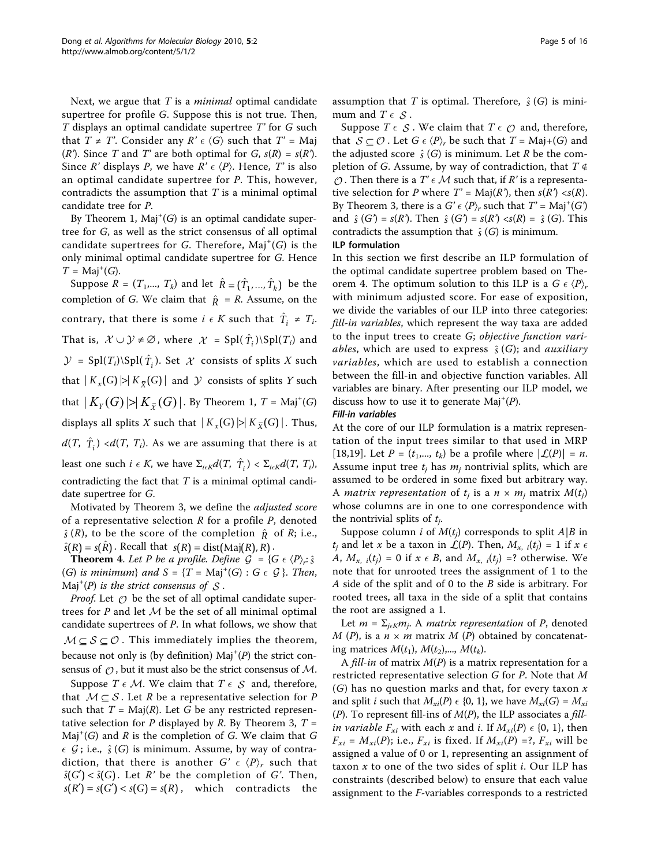Next, we argue that  $T$  is a *minimal* optimal candidate supertree for profile G. Suppose this is not true. Then, T displays an optimal candidate supertree T' for G such that  $T \neq T'$ . Consider any  $R' \in \langle G \rangle$  such that  $T' =$  Maj  $(R')$ . Since T and T' are both optimal for G,  $s(R) = s(R')$ . Since R' displays P, we have  $R' \in \langle P \rangle$ . Hence, T' is also an optimal candidate supertree for P. This, however, contradicts the assumption that  $T$  is a minimal optimal candidate tree for P.

By Theorem 1,  $\text{Maj}^+(G)$  is an optimal candidate supertree for G, as well as the strict consensus of all optimal candidate supertrees for G. Therefore,  $\text{Maj}^+(G)$  is the only minimal optimal candidate supertree for G. Hence  $T = \text{Maj}^+(G)$ .

Suppose  $R = (T_1,..., T_k)$  and let  $\hat{R} = (\hat{T}_1,..., \hat{T}_k)$  be the completion of *G*. We claim that  $\hat{R} = R$ . Assume, on the contrary, that there is some  $i \in K$  such that  $\hat{T}_i \neq T_i$ . That is,  $X \cup Y \neq \emptyset$ , where  $X = \text{Spl}(\hat{T}_i) \setminus \text{Spl}(T_i)$  and  $\mathcal{Y} = \text{Spl}(T_i)\setminus \text{Spl}(\hat{T}_i)$ . Set  $\mathcal X$  consists of splits X such that  $| K_x(G) | > K_{\overline{X}}(G) |$  and  $Y$  consists of splits Y such that  $| K_{_Y}(G) | > \nmid K_{_{\bar{X}}}(G) |$  . By Theorem 1,  $T = \text{Maj}^+(G)$ displays all splits X such that  $| K_x(G) | > | K_{\overline{X}}(G) |$ . Thus,  $d(T, \hat{T}_i) < d(T, T_i)$ . As we are assuming that there is at least one such  $i \in K$ , we have  $\sum_{i \in K} d(T, \hat{T}_i) < \sum_{i \in K} d(T, T_i)$ , contradicting the fact that  $T$  is a minimal optimal candidate supertree for G.

Motivated by Theorem 3, we define the adjusted score of a representative selection  $R$  for a profile  $P$ , denoted  $\hat{s}(R)$ , to be the score of the completion  $\hat{R}$  of R; i.e.,  $\hat{s}(R) = s(\hat{R})$ . Recall that  $s(R) = \text{dist}(\text{Maj}(R), R)$ .

**Theorem 4.** Let P be a profile. Define  $G = \{G \in \langle P \rangle : \hat{s}$ (G) is minimum} and  $S = \{T = \text{Maj}^+(G) : G \in \mathcal{G} \}$ . Then,  $\text{Maj}^+(P)$  is the strict consensus of  $S$ .

*Proof.* Let  $\oslash$  be the set of all optimal candidate supertrees for  $P$  and let  $M$  be the set of all minimal optimal candidate supertrees of P. In what follows, we show that  $M \subset S \subset \mathcal{O}$ . This immediately implies the theorem, because not only is (by definition)  $\text{Maj}^+(P)$  the strict consensus of  $\varphi$ , but it must also be the strict consensus of  $\mathcal{M}$ .

Suppose  $T \in \mathcal{M}$ . We claim that  $T \in \mathcal{S}$  and, therefore, that  $M \subseteq S$ . Let R be a representative selection for P such that  $T = \text{Maj}(R)$ . Let G be any restricted representative selection for P displayed by R. By Theorem 3,  $T =$  $\text{Maj}^+(G)$  and R is the completion of G. We claim that G  $\epsilon$   $\mathcal{G}$ ; i.e.,  $\hat{s}$  (G) is minimum. Assume, by way of contradiction, that there is another  $G' \in \langle P \rangle_r$  such that  $\hat{s}(G') < \hat{s}(G)$ . Let R' be the completion of G'. Then,  $s(R') = s(G') < s(G) = s(R)$ , which contradicts the assumption that T is optimal. Therefore,  $\hat{s}$  (G) is minimum and  $T \in \mathcal{S}$ .

Suppose  $T \in S$ . We claim that  $T \in \mathcal{O}$  and, therefore, that  $S \subset \mathcal{O}$ . Let  $G \in \langle P \rangle_r$  be such that  $T = \text{Maj} + (G)$  and the adjusted score  $\hat{s}$  (G) is minimum. Let R be the completion of G. Assume, by way of contradiction, that  $T \notin$  $\mathcal O$ . Then there is a  $T' \in \mathcal M$  such that, if R' is a representative selection for P where  $T' = \text{Mai}(R')$ , then  $s(R') < s(R)$ . By Theorem 3, there is a  $G' \in \langle P \rangle_r$  such that  $T' = \text{Maj}^+(G')$ and  $\hat{s}(G') = s(R')$ . Then  $\hat{s}(G') = s(R') < s(R) = \hat{s}(G)$ . This contradicts the assumption that  $\hat{s}$  (G) is minimum.

ILP formulation

In this section we first describe an ILP formulation of the optimal candidate supertree problem based on Theorem 4. The optimum solution to this ILP is a  $G \in \langle P \rangle_r$ with minimum adjusted score. For ease of exposition, we divide the variables of our ILP into three categories: fill-in variables, which represent the way taxa are added to the input trees to create G; objective function vari*ables*, which are used to express  $\hat{s}$  (G); and *auxiliary* variables, which are used to establish a connection between the fill-in and objective function variables. All variables are binary. After presenting our ILP model, we discuss how to use it to generate  $\text{Maj}^+(P)$ .

## Fill-in variables

At the core of our ILP formulation is a matrix representation of the input trees similar to that used in MRP [[18,19](#page-14-0)]. Let  $P = (t_1,..., t_k)$  be a profile where  $|\mathcal{L}(P)| = n$ . Assume input tree  $t_i$  has  $m_i$  nontrivial splits, which are assumed to be ordered in some fixed but arbitrary way. A *matrix representation* of  $t_i$  is a  $n \times m_i$  matrix  $M(t_i)$ whose columns are in one to one correspondence with the nontrivial splits of  $t_i$ .

Suppose column *i* of  $M(t_i)$  corresponds to split  $A|B$  in  $t_i$  and let x be a taxon in  $\mathcal{L}(P)$ . Then,  $M_{x_i}$ ,  $(t_i) = 1$  if  $x \in$ A,  $M_{x_i}$   $_i(t_j) = 0$  if  $x \in B$ , and  $M_{x_i}$   $_i(t_j) = ?$  otherwise. We note that for unrooted trees the assignment of 1 to the  $A$  side of the split and of 0 to the  $B$  side is arbitrary. For rooted trees, all taxa in the side of a split that contains the root are assigned a 1.

Let  $m = \sum_{j \in K} m_j$ . A *matrix representation* of *P*, denoted M (P), is a  $n \times m$  matrix M (P) obtained by concatenating matrices  $M(t_1)$ ,  $M(t_2)$ ,...,  $M(t_k)$ .

A fill-in of matrix  $M(P)$  is a matrix representation for a restricted representative selection G for P. Note that M (G) has no question marks and that, for every taxon x and split *i* such that  $M_{xi}(P) \in \{0, 1\}$ , we have  $M_{xi}(G) = M_{xi}$ (P). To represent fill-ins of  $M(P)$ , the ILP associates a *fillin variable*  $F_{xi}$  with each x and *i*. If  $M_{xi}(P) \in \{0, 1\}$ , then  $F_{xi} = M_{xi}(P)$ ; i.e.,  $F_{xi}$  is fixed. If  $M_{xi}(P) = ?$ ,  $F_{xi}$  will be assigned a value of 0 or 1, representing an assignment of taxon  $x$  to one of the two sides of split  $i$ . Our ILP has constraints (described below) to ensure that each value assignment to the F-variables corresponds to a restricted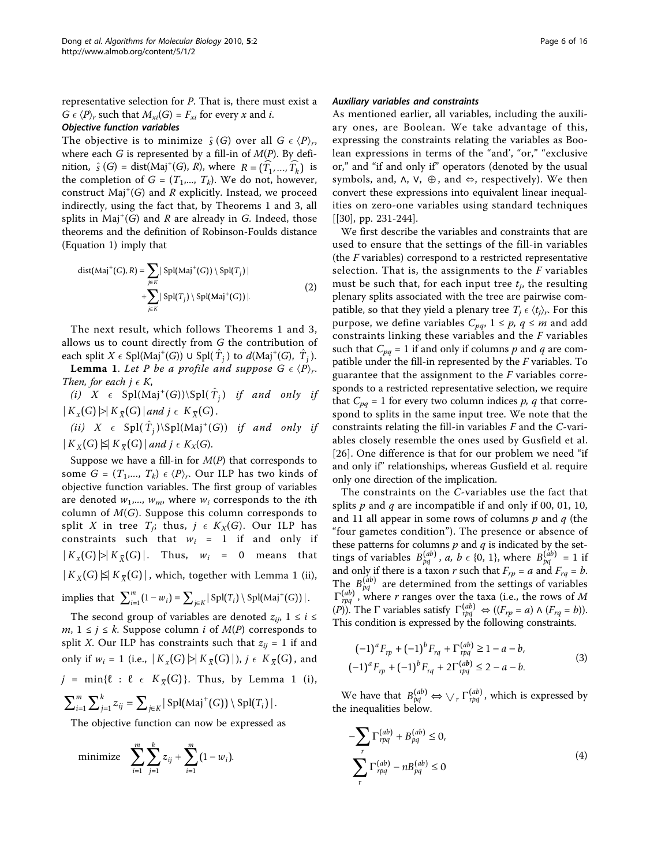representative selection for P. That is, there must exist a  $G \in \langle P \rangle_r$  such that  $M_{xi}(G) = F_{xi}$  for every x and i.

# Objective function variables

The objective is to minimize  $\hat{s}(G)$  over all  $G \in \langle P \rangle_r$ , where each G is represented by a fill-in of  $M(P)$ . By definition,  $\hat{s}(G) = \text{dist}(\text{Maj}^+(G), R)$ , where  $R = (\hat{T}_1, ..., \hat{T}_k)$  is the completion of  $G = (T_1,..., T_k)$ . We do not, however, construct  $\text{Maj}^+(G)$  and R explicitly. Instead, we proceed indirectly, using the fact that, by Theorems 1 and 3, all splits in  $\text{Maj}^+(G)$  and R are already in G. Indeed, those theorems and the definition of Robinson-Foulds distance (Equation 1) imply that

$$
dist(Maj^{+}(G), R) = \sum_{j \in K} |Spl(Maj^{+}(G)) \setminus Spl(T_j)| + \sum_{j \in K} |Spl(T_j) \setminus Spl(Maj^{+}(G))|.
$$
 (2)

The next result, which follows Theorems 1 and 3, allows us to count directly from G the contribution of each split  $X \in \text{Spl}(\text{Maj}^+(G))$  U Spl $(\hat{T}_j)$  to  $d(\text{Maj}^+(G), \hat{T}_j)$ .

**Lemma 1.** Let P be a profile and suppose  $G \in \langle P \rangle_r$ . Then, for each  $j \in K$ ,

(i)  $X \in \text{Spl}(\text{Maj}^+(G))\backslash \text{Spl}(\hat{T}_j)$  if and only if  $| K_x(G) | > K_{\overline{X}}(G) |$  and  $j \in K_{\overline{X}}(G)$ .

(*ii*)  $X \in \text{Spl}(\hat{T}_j) \backslash \text{Spl}(\text{Maj}^+(G))$  if and only if  $| K_X(G) | \leq K_{\overline{X}}(G) |$  and  $j \in K_X(G)$ .

Suppose we have a fill-in for  $M(P)$  that corresponds to some  $G = (T_1,..., T_k) \in \langle P \rangle_r$ . Our ILP has two kinds of objective function variables. The first group of variables are denoted  $w_1$ ,...,  $w_m$ , where  $w_i$  corresponds to the *i*th column of  $M(G)$ . Suppose this column corresponds to split X in tree  $T_j$ ; thus,  $j \in K_X(G)$ . Our ILP has constraints such that  $w_i = 1$  if and only if  $| K_r(G) | > K_{\overline{Y}}(G) |$ . Thus,  $w_i = 0$  means that  $| K_X(G) | \leq K_{\overline{X}}(G) |$ , which, together with Lemma 1 (ii), implies that  $\sum_{i=1}^{m} (1 - w_i) = \sum_{j \in K} |Sp|(T_i) \setminus Sp|(Maj^+(G))|$ .

The second group of variables are denoted  $z_{ii}$ ,  $1 \le i \le$  $m, 1 \le j \le k$ . Suppose column *i* of  $M(P)$  corresponds to split X. Our ILP has constraints such that  $z_{ij} = 1$  if and only if  $w_i = 1$  (i.e.,  $|K_x(G)| > |K_{\overline{X}}(G)|$ ),  $j \in K_{\overline{X}}(G)$ , and  $j = \min\{\ell : \ell \in K_{\overline{X}}(G)\}.$  Thus, by Lemma 1 (i),  $\sum_{j=1}^k z_{ij} = \sum_{j\in K} |\operatorname{Spl}(\operatorname{Maj}^+(G)) \setminus \operatorname{Spl}(T)$ *i m*  $\sum_{i=1}^{m} \sum_{j=1}^{k} z_{ij} = \sum_{j \in K} |\operatorname{Spl}(\operatorname{Maj}^+(G)) \setminus \operatorname{Spl}(T_i)|.$ 

The objective function can now be expressed as

minimize 
$$
\sum_{i=1}^{m} \sum_{j=1}^{k} z_{ij} + \sum_{i=1}^{m} (1 - w_i).
$$

## Auxiliary variables and constraints

As mentioned earlier, all variables, including the auxiliary ones, are Boolean. We take advantage of this, expressing the constraints relating the variables as Boolean expressions in terms of the "and', "or," "exclusive or," and "if and only if" operators (denoted by the usual symbols, and,  $\wedge$ ,  $\vee$ ,  $\oplus$ , and  $\Leftrightarrow$ , respectively). We then convert these expressions into equivalent linear inequalities on zero-one variables using standard techniques [[\[30\]](#page-14-0), pp. 231-244].

We first describe the variables and constraints that are used to ensure that the settings of the fill-in variables (the  $F$  variables) correspond to a restricted representative selection. That is, the assignments to the  $F$  variables must be such that, for each input tree  $t_i$ , the resulting plenary splits associated with the tree are pairwise compatible, so that they yield a plenary tree  $T_i \in \langle t_i \rangle_r$ . For this purpose, we define variables  $C_{pq}$ ,  $1 \leq p$ ,  $q \leq m$  and add constraints linking these variables and the F variables such that  $C_{pq} = 1$  if and only if columns p and q are compatible under the fill-in represented by the  $F$  variables. To guarantee that the assignment to the  $F$  variables corresponds to a restricted representative selection, we require that  $C_{pq} = 1$  for every two column indices p, q that correspond to splits in the same input tree. We note that the constraints relating the fill-in variables  $F$  and the  $C$ -variables closely resemble the ones used by Gusfield et al. [[26](#page-14-0)]. One difference is that for our problem we need "if and only if" relationships, whereas Gusfield et al. require only one direction of the implication.

The constraints on the C-variables use the fact that splits  $p$  and  $q$  are incompatible if and only if 00, 01, 10, and 11 all appear in some rows of columns  $p$  and  $q$  (the "four gametes condition"). The presence or absence of these patterns for columns  $p$  and  $q$  is indicated by the settings of variables  $B_{pq}^{(ab)}$ , *a*, *b*  $\epsilon$  {0, 1}, where  $B_{pq}^{(ab)} = 1$  if and only if there is a taxon r such that  $F_{rp} = a$  and  $F_{rq} = b$ . The  $B_{pq}^{(ab)}$  are determined from the settings of variables  $\Gamma^{(ab)}_{r pq}$ , where *r* ranges over the taxa (i.e., the rows of M (P)). The  $\Gamma$  variables satisfy  $\Gamma_{rpq}^{(ab)} \Leftrightarrow ((F_{rp} = a) \wedge (F_{rq} = b)).$ This condition is expressed by the following constraints.

$$
(-1)^{a} F_{rp} + (-1)^{b} F_{rq} + \Gamma_{rpq}^{(ab)} \ge 1 - a - b,
$$
  

$$
(-1)^{a} F_{rp} + (-1)^{b} F_{rq} + 2\Gamma_{rpq}^{(ab)} \le 2 - a - b.
$$
 (3)

We have that  $B_{pq}^{(ab)} \Leftrightarrow \vee_r \Gamma_{rpq}^{(ab)}$ , which is expressed by the inequalities below.

$$
-\sum_{r} \Gamma_{rpq}^{(ab)} + B_{pq}^{(ab)} \le 0,
$$
  

$$
\sum_{r} \Gamma_{rpq}^{(ab)} - nB_{pq}^{(ab)} \le 0
$$
 (4)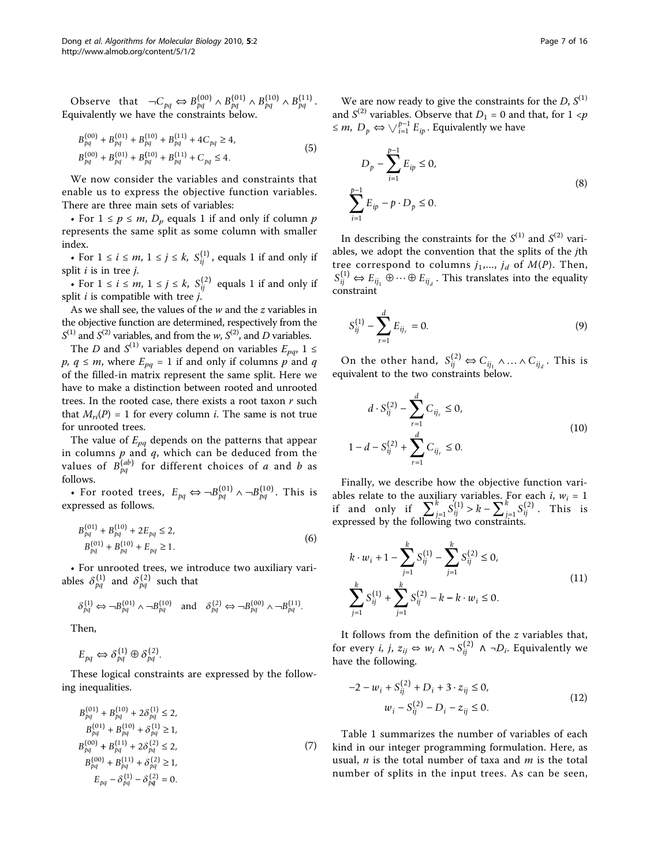Observe that  $\neg C_{pq} \Leftrightarrow B_{pq}^{(00)} \wedge B_{pq}^{(01)} \wedge B_{pq}^{(10)} \wedge B_{pq}^{(11)}$ . Equivalently we have the constraints below.

$$
B_{pq}^{(00)} + B_{pq}^{(01)} + B_{pq}^{(10)} + B_{pq}^{(11)} + 4C_{pq} \ge 4,
$$
  
\n
$$
B_{pq}^{(00)} + B_{pq}^{(01)} + B_{pq}^{(10)} + B_{pq}^{(11)} + C_{pq} \le 4.
$$
\n(5)

We now consider the variables and constraints that enable us to express the objective function variables. There are three main sets of variables:

• For  $1 \le p \le m$ ,  $D_p$  equals 1 if and only if column p represents the same split as some column with smaller index.

• For  $1 \le i \le m$ ,  $1 \le j \le k$ ,  $S_{ij}^{(1)}$ , equals 1 if and only if split  $i$  is in tree  $j$ .

• For  $1 \le i \le m$ ,  $1 \le j \le k$ ,  $S_{ij}^{(2)}$  equals 1 if and only if split  $i$  is compatible with tree  $i$ .

As we shall see, the values of the  $w$  and the  $z$  variables in the objective function are determined, respectively from the  $S^{(1)}$  and  $S^{(2)}$  variables, and from the w,  $S^{(2)}$ , and D variables.

The D and  $S^{(1)}$  variables depend on variables  $E_{pq}$ ,  $1 \leq$ p,  $q \le m$ , where  $E_{pq} = 1$  if and only if columns p and q of the filled-in matrix represent the same split. Here we have to make a distinction between rooted and unrooted trees. In the rooted case, there exists a root taxon  $r$  such that  $M_{ri}(P) = 1$  for every column *i*. The same is not true for unrooted trees.

The value of  $E_{pq}$  depends on the patterns that appear in columns  $p$  and  $q$ , which can be deduced from the values of  $B_{\rho q}^{(ab)}$  for different choices of  $a$  and  $b$  as follows.

• For rooted trees,  $E_{pq} \Leftrightarrow \neg B_{pq}^{(01)} \wedge \neg B_{pq}^{(10)}$ . This is expressed as follows.

$$
B_{pq}^{(01)} + B_{pq}^{(10)} + 2E_{pq} \le 2,
$$
  
\n
$$
B_{pq}^{(01)} + B_{pq}^{(10)} + E_{pq} \ge 1.
$$
\n(6)

• For unrooted trees, we introduce two auxiliary variables  $\delta^{(1)}_{pq}$  and  $\delta^{(2)}_{pq}$  such that

$$
\delta^{(1)}_{pq}\Leftrightarrow \neg B^{(01)}_{pq}\wedge \neg B^{(10)}_{pq}\quad \text{and}\quad \delta^{(2)}_{pq}\Leftrightarrow \neg B^{(00)}_{pq}\wedge \neg B^{(11)}_{pq}.
$$

Then,

$$
E_{pq} \Leftrightarrow \delta_{pq}^{(1)} \oplus \delta_{pq}^{(2)}.
$$

These logical constraints are expressed by the following inequalities.

$$
B_{pq}^{(01)} + B_{pq}^{(10)} + 2\delta_{pq}^{(1)} \le 2,
$$
  
\n
$$
B_{pq}^{(01)} + B_{pq}^{(10)} + \delta_{pq}^{(1)} \ge 1,
$$
  
\n
$$
B_{pq}^{(00)} + B_{pq}^{(11)} + 2\delta_{pq}^{(2)} \le 2,
$$
  
\n
$$
B_{pq}^{(00)} + B_{pq}^{(11)} + \delta_{pq}^{(2)} \ge 1,
$$
  
\n
$$
E_{pq} - \delta_{pq}^{(1)} - \delta_{pq}^{(2)} = 0.
$$
\n(7)

We are now ready to give the constraints for the D,  $S^{(1)}$ and  $S^{(2)}$  variables. Observe that  $D_1 = 0$  and that, for  $1 \leq p$  $\leq m$ ,  $D_p \Leftrightarrow \bigvee_{i=1}^{p-1} E_{ip}$ . Equivalently we have

$$
D_{p} - \sum_{i=1}^{p-1} E_{ip} \le 0,
$$
  

$$
\sum_{i=1}^{p-1} E_{ip} - p \cdot D_{p} \le 0.
$$
 (8)

In describing the constraints for the  $S^{(1)}$  and  $S^{(2)}$  variables, we adopt the convention that the splits of the jth tree correspond to columns  $j_1,..., j_d$  of  $M(P)$ . Then,  $S_{ij}^{(1)} \Leftrightarrow E_{ij_1} \oplus \cdots \oplus E_{ij_d}$ . This translates into the equality constraint

$$
S_{ij}^{(1)} - \sum_{r=1}^{d} E_{ij_r} = 0.
$$
 (9)

On the other hand,  $S_{ij}^{(2)} \Leftrightarrow C_{ij_1} \wedge \ldots \wedge C_{ij_d}$ . This is equivalent to the two constraints below.

$$
d \cdot S_{ij}^{(2)} - \sum_{r=1}^{d} C_{ij_r} \le 0,
$$
  

$$
1 - d - S_{ij}^{(2)} + \sum_{r=1}^{d} C_{ij_r} \le 0.
$$
 (10)

Finally, we describe how the objective function variables relate to the auxiliary variables. For each *i*,  $w_i = 1$ if and only if  $\sum_{j=1}^{k} S_{ij}^{(1)} > k - \sum_{j=1}^{k} S_{ij}^{(1)}$ *j*  $k \quad c(1) \leq k \quad \mathbf{\nabla}^k \quad c(2)$  $\sum_{j=1}^{\kappa} S_{ij}^{(1)} > k - \sum_{j=1}^{\kappa} S_{ij}^{(2)}$  . This is expressed by the following two constraints.

$$
k \cdot w_i + 1 - \sum_{j=1}^k S_{ij}^{(1)} - \sum_{j=1}^k S_{ij}^{(2)} \le 0,
$$
  

$$
\sum_{j=1}^k S_{ij}^{(1)} + \sum_{j=1}^k S_{ij}^{(2)} - k - k \cdot w_i \le 0.
$$
 (11)

It follows from the definition of the z variables that, for every *i, j, z<sub>ij</sub>*  $\Leftrightarrow$   $w_i \wedge \neg S_{ij}^{(2)} \wedge \neg D_i$ . Equivalently we have the following.

$$
-2 - w_i + S_{ij}^{(2)} + D_i + 3 \cdot z_{ij} \le 0,
$$
  

$$
w_i - S_{ij}^{(2)} - D_i - z_{ij} \le 0.
$$
 (12)

Table [1](#page-7-0) summarizes the number of variables of each kind in our integer programming formulation. Here, as usual,  $n$  is the total number of taxa and  $m$  is the total number of splits in the input trees. As can be seen,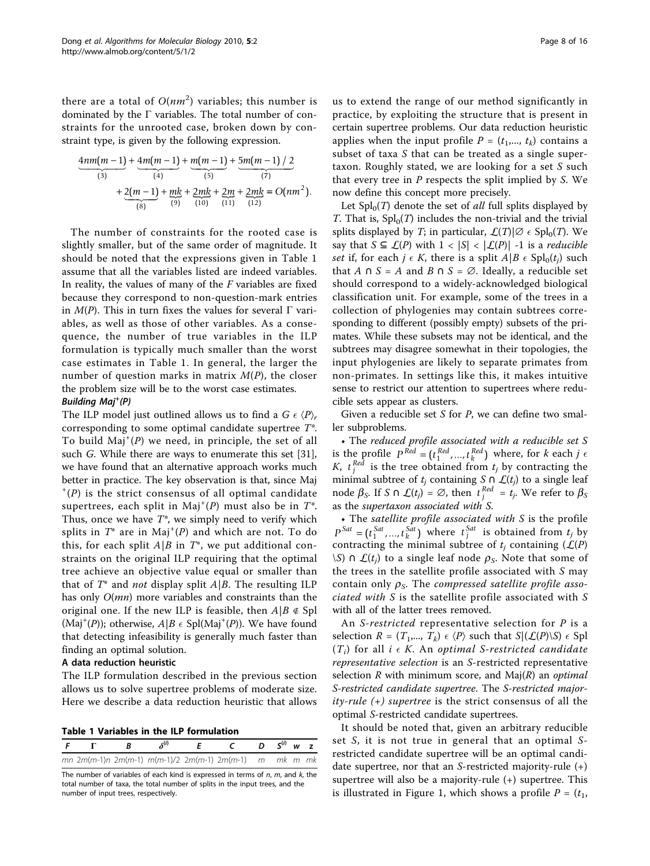<span id="page-7-0"></span>there are a total of  $O(nm^2)$  variables; this number is dominated by the Γ variables. The total number of constraints for the unrooted case, broken down by constraint type, is given by the following expression.

$$
\frac{4nm(m-1)}{(3)} + \frac{4m(m-1)}{(4)} + \frac{m(m-1)}{(5)} + \frac{5m(m-1)/2}{(7)} + \frac{2(m-1)}{(9)} + \frac{mk}{(9)} + \frac{2mk}{(10)} + \frac{2mk}{(11)} + \frac{2mk}{(12)} = O(nm^2).
$$

The number of constraints for the rooted case is slightly smaller, but of the same order of magnitude. It should be noted that the expressions given in Table 1 assume that all the variables listed are indeed variables. In reality, the values of many of the  $F$  variables are fixed because they correspond to non-question-mark entries in  $M(P)$ . This in turn fixes the values for several  $\Gamma$  variables, as well as those of other variables. As a consequence, the number of true variables in the ILP formulation is typically much smaller than the worst case estimates in Table 1. In general, the larger the number of question marks in matrix  $M(P)$ , the closer the problem size will be to the worst case estimates.

# Building Maj<sup>+</sup>(P)

The ILP model just outlined allows us to find a  $G \in \langle P \rangle_r$ corresponding to some optimal candidate supertree T\*. To build  $\text{Maj}^+(P)$  we need, in principle, the set of all such G. While there are ways to enumerate this set [\[31](#page-14-0)], we have found that an alternative approach works much better in practice. The key observation is that, since Maj + (P) is the strict consensus of all optimal candidate supertrees, each split in Maj<sup>+</sup>(P) must also be in  $T^*$ . Thus, once we have  $T^*$ , we simply need to verify which splits in  $T^*$  are in  $\text{Maj}^+(P)$  and which are not. To do this, for each split  $A|B$  in  $T^*$ , we put additional constraints on the original ILP requiring that the optimal tree achieve an objective value equal or smaller than that of  $T^*$  and *not* display split  $A|B$ . The resulting ILP has only  $O(mn)$  more variables and constraints than the original one. If the new ILP is feasible, then  $A|B \notin Spl$  $(Maj^{+}(P))$ ; otherwise,  $A|B \in Spl(Maj^{+}(P))$ . We have found that detecting infeasibility is generally much faster than finding an optimal solution.

# A data reduction heuristic

The ILP formulation described in the previous section allows us to solve supertree problems of moderate size. Here we describe a data reduction heuristic that allows

Table 1 Variables in the ILP formulation

|                                                          |  |  | D $S^{(l)}$ w z |  |
|----------------------------------------------------------|--|--|-----------------|--|
| $mn 2m(m-1)n 2m(m-1) m(m-1)/2 2m(m-1) 2m(m-1) m mk m mk$ |  |  |                 |  |

The number of variables of each kind is expressed in terms of  $n$ ,  $m$ , and  $k$ , the total number of taxa, the total number of splits in the input trees, and the number of input trees, respectively.

us to extend the range of our method significantly in practice, by exploiting the structure that is present in certain supertree problems. Our data reduction heuristic applies when the input profile  $P = (t_1,..., t_k)$  contains a subset of taxa S that can be treated as a single supertaxon. Roughly stated, we are looking for a set S such that every tree in  $P$  respects the split implied by  $S$ . We now define this concept more precisely.

Let  $\text{Spl}_0(T)$  denote the set of *all* full splits displayed by T. That is,  $Spl_0(T)$  includes the non-trivial and the trivial splits displayed by T; in particular,  $\mathcal{L}(T)|\emptyset \in \mathrm{Spl}_0(T)$ . We say that  $S \subseteq \mathcal{L}(P)$  with  $1 < |S| < |\mathcal{L}(P)| - 1$  is a *reducible* set if, for each  $j \in K$ , there is a split  $A|B \in \text{Spl}_0(t_i)$  such that A  $\cap$  S = A and B  $\cap$  S =  $\emptyset$ . Ideally, a reducible set should correspond to a widely-acknowledged biological classification unit. For example, some of the trees in a collection of phylogenies may contain subtrees corresponding to different (possibly empty) subsets of the primates. While these subsets may not be identical, and the subtrees may disagree somewhat in their topologies, the input phylogenies are likely to separate primates from non-primates. In settings like this, it makes intuitive sense to restrict our attention to supertrees where reducible sets appear as clusters.

Given a reducible set  $S$  for  $P$ , we can define two smaller subproblems.

• The reduced profile associated with a reducible set S is the profile  $P^{Red} = (t_1^{Red},..., t_k^{Red})$  where, for k each j  $\epsilon$ K,  $t_j^{Red}$  is the tree obtained from  $t_j$  by contracting the minimal subtree of  $t_j$  containing S  $\cap$   $\mathcal{L}(t_j)$  to a single leaf node  $\beta_S$ . If S  $\cap$   $\mathcal{L}(t_j) = \emptyset$ , then  $t_j^{Red} = t_j$ . We refer to  $\beta_S$ as the supertaxon associated with S.

• The satellite profile associated with S is the profile  $P^{Sat} = (t_1^{Sat},...,t_k^{Sat})$  where  $t_j^{Sat}$  is obtained from  $t_j$  by contracting the minimal subtree of  $t_j$  containing ( $L(P)$ \S) ∩  $\mathcal{L}(t_j)$  to a single leaf node  $\rho_S$ . Note that some of the trees in the satellite profile associated with  $S$  may contain only  $\rho_S$ . The compressed satellite profile associated with S is the satellite profile associated with S with all of the latter trees removed.

An S-restricted representative selection for P is a selection  $R = (T_1,..., T_k) \in \langle P \rangle$  such that  $S(\mathcal{L}(P) \setminus S) \in \mathcal{S}$ pl  $(T_i)$  for all  $i \in K$ . An optimal S-restricted candidate representative selection is an S-restricted representative selection  $R$  with minimum score, and Maj $(R)$  an *optimal* S-restricted candidate supertree. The S-restricted majority-rule (+) supertree is the strict consensus of all the optimal S-restricted candidate supertrees.

It should be noted that, given an arbitrary reducible set S, it is not true in general that an optimal Srestricted candidate supertree will be an optimal candidate supertree, nor that an S-restricted majority-rule (+) supertree will also be a majority-rule (+) supertree. This is illustrated in Figure [1,](#page-9-0) which shows a profile  $P = (t_1, t_2, t_3)$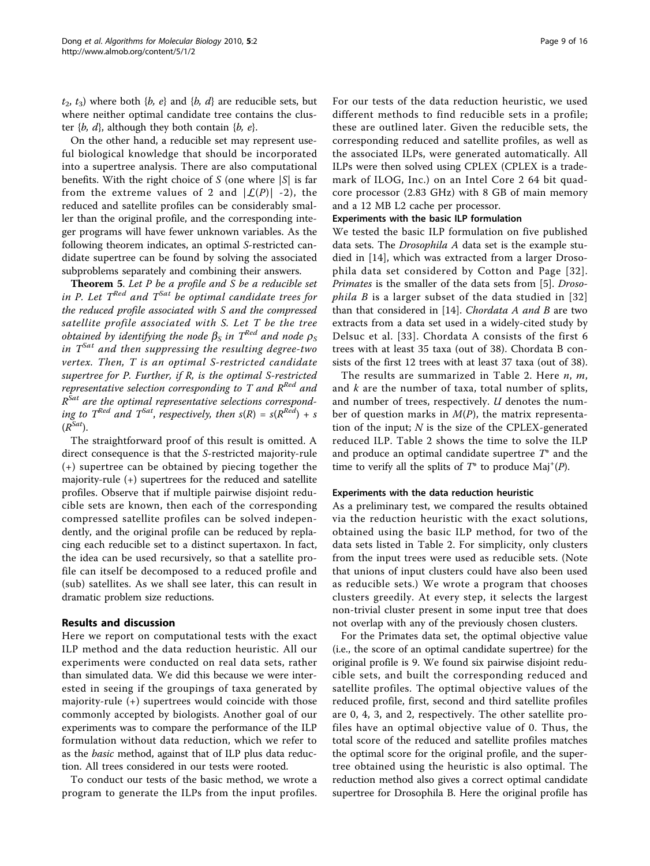$t_2$ ,  $t_3$ ) where both {b, e} and {b, d} are reducible sets, but where neither optimal candidate tree contains the cluster  $\{b, d\}$ , although they both contain  $\{b, e\}$ .

On the other hand, a reducible set may represent useful biological knowledge that should be incorporated into a supertree analysis. There are also computational benefits. With the right choice of  $S$  (one where  $|S|$  is far from the extreme values of 2 and  $|\mathcal{L}(P)|$  -2), the reduced and satellite profiles can be considerably smaller than the original profile, and the corresponding integer programs will have fewer unknown variables. As the following theorem indicates, an optimal S-restricted candidate supertree can be found by solving the associated subproblems separately and combining their answers.

**Theorem 5.** Let  $P$  be a profile and  $S$  be a reducible set in P. Let  $T^{Red}$  and  $T^{Sat}$  be optimal candidate trees for the reduced profile associated with S and the compressed satellite profile associated with S. Let T be the tree obtained by identifying the node  $\beta_S$  in T<sup>Red</sup> and node  $\rho_S$ in  $T^{Sat}$  and then suppressing the resulting degree-two vertex. Then, T is an optimal S-restricted candidate supertree for P. Further, if R, is the optimal S-restricted representative selection corresponding to  $T$  and  $R^{Red}$  and  $R^{Sat}$  are the optimal representative selections corresponding to  $T^{Red}$  and  $T^{Sat}$ , respectively, then  $s(R) = s(R^{Red}) + s$  $(R^{Sat})$ .

The straightforward proof of this result is omitted. A direct consequence is that the S-restricted majority-rule (+) supertree can be obtained by piecing together the majority-rule (+) supertrees for the reduced and satellite profiles. Observe that if multiple pairwise disjoint reducible sets are known, then each of the corresponding compressed satellite profiles can be solved independently, and the original profile can be reduced by replacing each reducible set to a distinct supertaxon. In fact, the idea can be used recursively, so that a satellite profile can itself be decomposed to a reduced profile and (sub) satellites. As we shall see later, this can result in dramatic problem size reductions.

## Results and discussion

Here we report on computational tests with the exact ILP method and the data reduction heuristic. All our experiments were conducted on real data sets, rather than simulated data. We did this because we were interested in seeing if the groupings of taxa generated by majority-rule (+) supertrees would coincide with those commonly accepted by biologists. Another goal of our experiments was to compare the performance of the ILP formulation without data reduction, which we refer to as the basic method, against that of ILP plus data reduction. All trees considered in our tests were rooted.

To conduct our tests of the basic method, we wrote a program to generate the ILPs from the input profiles.

For our tests of the data reduction heuristic, we used different methods to find reducible sets in a profile; these are outlined later. Given the reducible sets, the corresponding reduced and satellite profiles, as well as the associated ILPs, were generated automatically. All ILPs were then solved using CPLEX (CPLEX is a trademark of ILOG, Inc.) on an Intel Core 2 64 bit quadcore processor (2.83 GHz) with 8 GB of main memory and a 12 MB L2 cache per processor.

## Experiments with the basic ILP formulation

We tested the basic ILP formulation on five published data sets. The *Drosophila A* data set is the example studied in [[14](#page-14-0)], which was extracted from a larger Drosophila data set considered by Cotton and Page [[32\]](#page-14-0). Primates is the smaller of the data sets from [[5\]](#page-14-0). Droso*phila B* is a larger subset of the data studied in [[32](#page-14-0)] than that considered in [\[14](#page-14-0)]. Chordata A and B are two extracts from a data set used in a widely-cited study by Delsuc et al. [[33](#page-14-0)]. Chordata A consists of the first 6 trees with at least 35 taxa (out of 38). Chordata B consists of the first 12 trees with at least 37 taxa (out of 38).

The results are summarized in Table [2](#page-10-0). Here  $n, m$ , and  $k$  are the number of taxa, total number of splits, and number of trees, respectively. U denotes the number of question marks in  $M(P)$ , the matrix representation of the input;  $N$  is the size of the CPLEX-generated reduced ILP. Table [2](#page-10-0) shows the time to solve the ILP and produce an optimal candidate supertree  $T^*$  and the time to verify all the splits of  $T^*$  to produce Maj<sup>+</sup>(P).

## Experiments with the data reduction heuristic

As a preliminary test, we compared the results obtained via the reduction heuristic with the exact solutions, obtained using the basic ILP method, for two of the data sets listed in Table [2.](#page-10-0) For simplicity, only clusters from the input trees were used as reducible sets. (Note that unions of input clusters could have also been used as reducible sets.) We wrote a program that chooses clusters greedily. At every step, it selects the largest non-trivial cluster present in some input tree that does not overlap with any of the previously chosen clusters.

For the Primates data set, the optimal objective value (i.e., the score of an optimal candidate supertree) for the original profile is 9. We found six pairwise disjoint reducible sets, and built the corresponding reduced and satellite profiles. The optimal objective values of the reduced profile, first, second and third satellite profiles are 0, 4, 3, and 2, respectively. The other satellite profiles have an optimal objective value of 0. Thus, the total score of the reduced and satellite profiles matches the optimal score for the original profile, and the supertree obtained using the heuristic is also optimal. The reduction method also gives a correct optimal candidate supertree for Drosophila B. Here the original profile has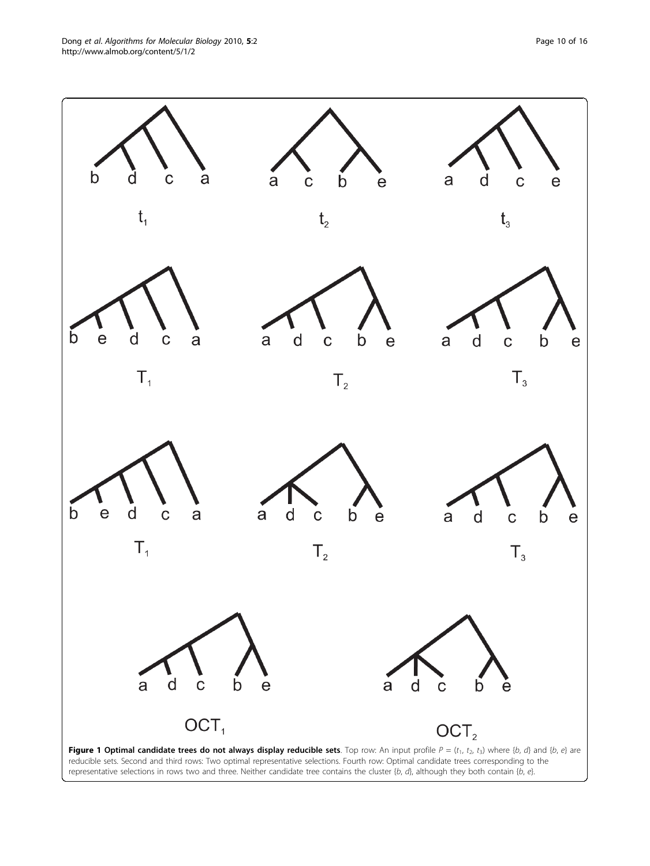<span id="page-9-0"></span>Dong et al. Algorithms for Molecular Biology 2010, <sup>5</sup>:2 http://www.almob.org/content/5/1/2



representative selections in rows two and three. Neither candidate tree contains the cluster {b, d}, although they both contain {b, e}.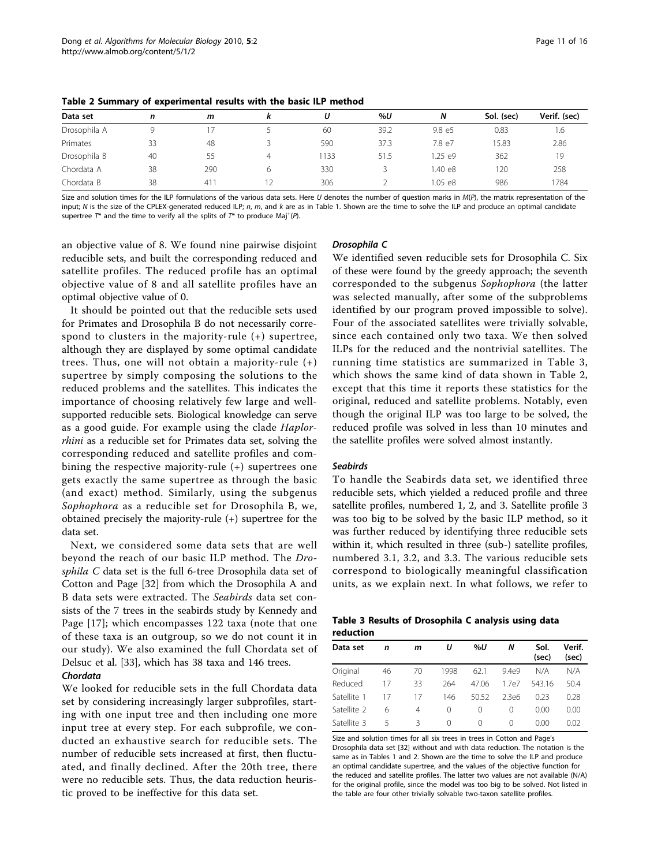| Data set     | n  | $\mathsf{m}$    |   | U   | %U   | N       | Sol. (sec) | Verif. (sec) |
|--------------|----|-----------------|---|-----|------|---------|------------|--------------|
| Drosophila A |    |                 |   | 60  | 39.2 | 9.8 e5  | 0.83       | . 6          |
| Primates     | 33 | 48              |   | 590 | 37.3 | 7.8 e7  | 15.83      | 2.86         |
| Drosophila B | 40 | 55              | 4 | 133 | 51.5 | .25e9   | 362        | 19           |
| Chordata A   | 38 | 290             |   | 330 |      | .40 e8  | 120        | 258          |
| Chordata B   | 38 | 41 <sup>2</sup> |   | 306 |      | 1.05 e8 | 986        | 1784         |

<span id="page-10-0"></span>Table 2 Summary of experimental results with the basic ILP method

Size and solution times for the ILP formulations of the various data sets. Here U denotes the number of question marks in  $M(P)$ , the matrix representation of the input; N is the size of the CPLEX-generated reduced ILP; n, m, and k are as in Table 1. Shown are the time to solve the ILP and produce an optimal candidate supertree  $T^*$  and the time to verify all the splits of  $T^*$  to produce  $\text{Maj}^+(P)$ .

an objective value of 8. We found nine pairwise disjoint reducible sets, and built the corresponding reduced and satellite profiles. The reduced profile has an optimal objective value of 8 and all satellite profiles have an optimal objective value of 0.

It should be pointed out that the reducible sets used for Primates and Drosophila B do not necessarily correspond to clusters in the majority-rule (+) supertree, although they are displayed by some optimal candidate trees. Thus, one will not obtain a majority-rule (+) supertree by simply composing the solutions to the reduced problems and the satellites. This indicates the importance of choosing relatively few large and wellsupported reducible sets. Biological knowledge can serve as a good guide. For example using the clade Haplorrhini as a reducible set for Primates data set, solving the corresponding reduced and satellite profiles and combining the respective majority-rule (+) supertrees one gets exactly the same supertree as through the basic (and exact) method. Similarly, using the subgenus Sophophora as a reducible set for Drosophila B, we, obtained precisely the majority-rule (+) supertree for the data set.

Next, we considered some data sets that are well beyond the reach of our basic ILP method. The Drosphila C data set is the full 6-tree Drosophila data set of Cotton and Page [[32\]](#page-14-0) from which the Drosophila A and B data sets were extracted. The Seabirds data set consists of the 7 trees in the seabirds study by Kennedy and Page [\[17](#page-14-0)]; which encompasses 122 taxa (note that one of these taxa is an outgroup, so we do not count it in our study). We also examined the full Chordata set of Delsuc et al. [[33](#page-14-0)], which has 38 taxa and 146 trees.

# Chordata

We looked for reducible sets in the full Chordata data set by considering increasingly larger subprofiles, starting with one input tree and then including one more input tree at every step. For each subprofile, we conducted an exhaustive search for reducible sets. The number of reducible sets increased at first, then fluctuated, and finally declined. After the 20th tree, there were no reducible sets. Thus, the data reduction heuristic proved to be ineffective for this data set.

## Drosophila C

We identified seven reducible sets for Drosophila C. Six of these were found by the greedy approach; the seventh corresponded to the subgenus Sophophora (the latter was selected manually, after some of the subproblems identified by our program proved impossible to solve). Four of the associated satellites were trivially solvable, since each contained only two taxa. We then solved ILPs for the reduced and the nontrivial satellites. The running time statistics are summarized in Table 3, which shows the same kind of data shown in Table 2, except that this time it reports these statistics for the original, reduced and satellite problems. Notably, even though the original ILP was too large to be solved, the reduced profile was solved in less than 10 minutes and the satellite profiles were solved almost instantly.

## Seabirds

To handle the Seabirds data set, we identified three reducible sets, which yielded a reduced profile and three satellite profiles, numbered 1, 2, and 3. Satellite profile 3 was too big to be solved by the basic ILP method, so it was further reduced by identifying three reducible sets within it, which resulted in three (sub-) satellite profiles, numbered 3.1, 3.2, and 3.3. The various reducible sets correspond to biologically meaningful classification units, as we explain next. In what follows, we refer to

| Table 3 Results of Drosophila C analysis using data |  |  |
|-----------------------------------------------------|--|--|
| reduction                                           |  |  |

| Data set    | n  | m  | U    | %U       | N     | Sol.<br>(sec) | Verif.<br>(sec) |
|-------------|----|----|------|----------|-------|---------------|-----------------|
| Original    | 46 | 70 | 1998 | 62.1     | 9.4e9 | N/A           | N/A             |
| Reduced     | 17 | 33 | 264  | 47.06    | 1.7e7 | 543.16        | 50.4            |
| Satellite 1 | 17 | 17 | 146  | 50.52    | 2366  | 0.23          | 0.28            |
| Satellite 2 | 6  | 4  | 0    | 0        | 0     | 0.00          | 0.00            |
| Satellite 3 | 5  | ζ  | 0    | $\Omega$ | 0     | 0.00          | 0.02            |

Size and solution times for all six trees in trees in Cotton and Page's Drosophila data set [[32\]](#page-14-0) without and with data reduction. The notation is the same as in Tables 1 and 2. Shown are the time to solve the ILP and produce an optimal candidate supertree, and the values of the objective function for the reduced and satellite profiles. The latter two values are not available (N/A) for the original profile, since the model was too big to be solved. Not listed in the table are four other trivially solvable two-taxon satellite profiles.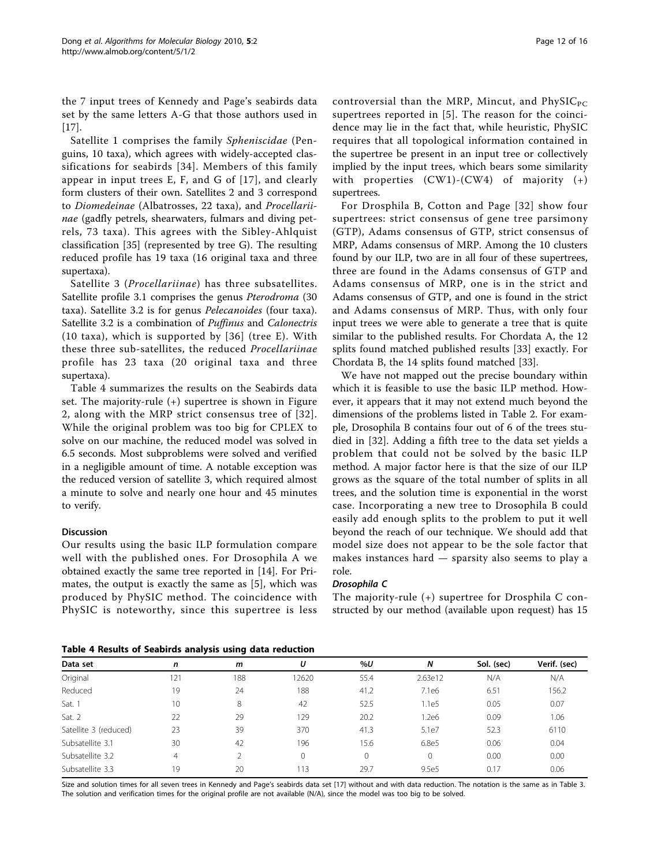the 7 input trees of Kennedy and Page's seabirds data set by the same letters A-G that those authors used in [[17\]](#page-14-0).

Satellite 1 comprises the family Spheniscidae (Penguins, 10 taxa), which agrees with widely-accepted classifications for seabirds [\[34](#page-14-0)]. Members of this family appear in input trees E, F, and G of [[17](#page-14-0)], and clearly form clusters of their own. Satellites 2 and 3 correspond to Diomedeinae (Albatrosses, 22 taxa), and Procellariinae (gadfly petrels, shearwaters, fulmars and diving petrels, 73 taxa). This agrees with the Sibley-Ahlquist classification [[35\]](#page-14-0) (represented by tree G). The resulting reduced profile has 19 taxa (16 original taxa and three supertaxa).

Satellite 3 (Procellariinae) has three subsatellites. Satellite profile 3.1 comprises the genus Pterodroma (30 taxa). Satellite 3.2 is for genus Pelecanoides (four taxa). Satellite 3.2 is a combination of Puffinus and Calonectris (10 taxa), which is supported by [[36\]](#page-14-0) (tree E). With these three sub-satellites, the reduced Procellariinae profile has 23 taxa (20 original taxa and three supertaxa).

Table 4 summarizes the results on the Seabirds data set. The majority-rule (+) supertree is shown in Figure [2,](#page-12-0) along with the MRP strict consensus tree of [[32\]](#page-14-0). While the original problem was too big for CPLEX to solve on our machine, the reduced model was solved in 6.5 seconds. Most subproblems were solved and verified in a negligible amount of time. A notable exception was the reduced version of satellite 3, which required almost a minute to solve and nearly one hour and 45 minutes to verify.

# Discussion

Our results using the basic ILP formulation compare well with the published ones. For Drosophila A we obtained exactly the same tree reported in [\[14](#page-14-0)]. For Primates, the output is exactly the same as [[5](#page-14-0)], which was produced by PhySIC method. The coincidence with PhySIC is noteworthy, since this supertree is less controversial than the MRP, Mincut, and  $PhysIC<sub>PC</sub>$ supertrees reported in [[5\]](#page-14-0). The reason for the coincidence may lie in the fact that, while heuristic, PhySIC requires that all topological information contained in the supertree be present in an input tree or collectively implied by the input trees, which bears some similarity with properties  $(CW1)-(CW4)$  of majority  $(+)$ supertrees.

For Drosphila B, Cotton and Page [[32](#page-14-0)] show four supertrees: strict consensus of gene tree parsimony (GTP), Adams consensus of GTP, strict consensus of MRP, Adams consensus of MRP. Among the 10 clusters found by our ILP, two are in all four of these supertrees, three are found in the Adams consensus of GTP and Adams consensus of MRP, one is in the strict and Adams consensus of GTP, and one is found in the strict and Adams consensus of MRP. Thus, with only four input trees we were able to generate a tree that is quite similar to the published results. For Chordata A, the 12 splits found matched published results [[33\]](#page-14-0) exactly. For Chordata B, the 14 splits found matched [\[33](#page-14-0)].

We have not mapped out the precise boundary within which it is feasible to use the basic ILP method. However, it appears that it may not extend much beyond the dimensions of the problems listed in Table [2.](#page-10-0) For example, Drosophila B contains four out of 6 of the trees studied in [[32\]](#page-14-0). Adding a fifth tree to the data set yields a problem that could not be solved by the basic ILP method. A major factor here is that the size of our ILP grows as the square of the total number of splits in all trees, and the solution time is exponential in the worst case. Incorporating a new tree to Drosophila B could easily add enough splits to the problem to put it well beyond the reach of our technique. We should add that model size does not appear to be the sole factor that makes instances hard — sparsity also seems to play a role.

## Drosophila C

The majority-rule (+) supertree for Drosphila C constructed by our method (available upon request) has 15

|  |  |  | Table 4 Results of Seabirds analysis using data reduction |
|--|--|--|-----------------------------------------------------------|
|  |  |  |                                                           |

| Data set              | n   | m   | U     | %U       | N       | Sol. (sec) | Verif. (sec) |
|-----------------------|-----|-----|-------|----------|---------|------------|--------------|
| Original              | 121 | 188 | 12620 | 55.4     | 2.63e12 | N/A        | N/A          |
| Reduced               | 19  | 24  | 188   | 41.2     | 7.1e6   | 6.51       | 156.2        |
| Sat. 1                | 10  | 8   | 42    | 52.5     | 1.1e5   | 0.05       | 0.07         |
| Sat. 2                | 22  | 29  | 129   | 20.2     | 1.2e6   | 0.09       | 1.06         |
| Satellite 3 (reduced) | 23  | 39  | 370   | 41.3     | 5.1e7   | 52.3       | 6110         |
| Subsatellite 3.1      | 30  | 42  | 196   | 15.6     | 6.8e5   | 0.06       | 0.04         |
| Subsatellite 3.2      | 4   |     | 0     | $\Omega$ | 0       | 0.00       | 0.00         |
| Subsatellite 3.3      | 19  | 20  | 13    | 29.7     | 9.5e5   | 0.17       | 0.06         |

Size and solution times for all seven trees in Kennedy and Page's seabirds data set [\[17](#page-14-0)] without and with data reduction. The notation is the same as in Table 3. The solution and verification times for the original profile are not available (N/A), since the model was too big to be solved.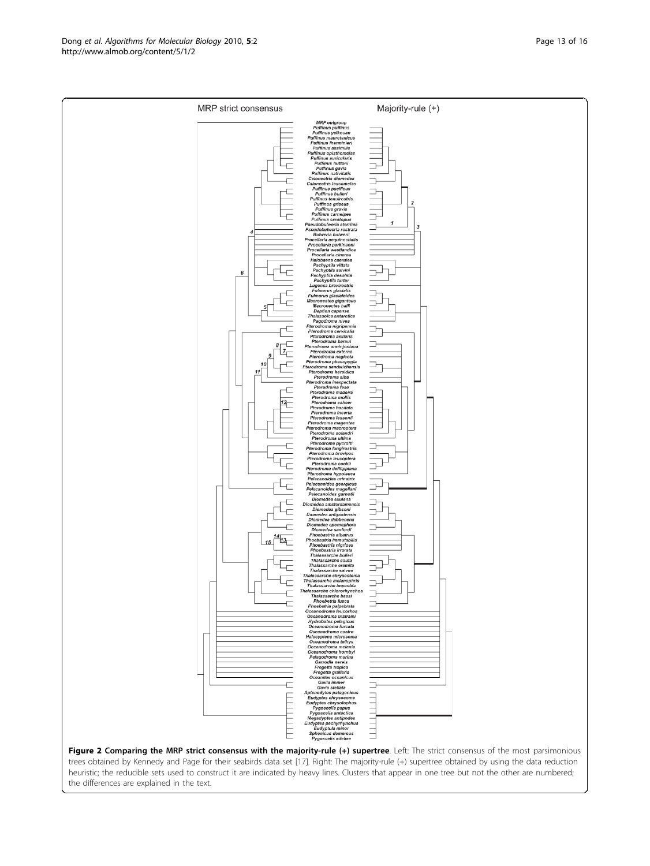Figure 2 Comparing the MRP strict consensus with the majority-rule (+) supertree. Left: The strict consensus of the most parsimonious trees obtained by Kennedy and Page for their seabirds data set [[17](#page-14-0)]. Right: The majority-rule (+) supertree obtained by using the data reduction heuristic; the reducible sets used to construct it are indicated by heavy lines. Clusters that appear in one tree but not the other are numbered; the differences are explained in the text.

<span id="page-12-0"></span> $\begin{array}{c} {\it MRP}~outgroups \\ {\it Puffinus~polifinus} \\ {\it Puffinus~polousvaling} \\ {\it Puffinus~nauretanic} \\ {\it Puffinus~asimillis} \\ {\it Uffinus~asivillas} \\ {\it Puffinus~auxitular} \\ {\it Puffinus~auxitatis} \\ {\it Puffinus~naivitatis} \\ {\it Puffinus~naivitatis} \\ {\it Puffinus~aivitatis} \\ \end{array}$  $\overline{\phantom{a}}$  $\overline{a}$  $\overline{+}$  $\overline{\phantom{a}}$ Calonectris leucomela nonecus reacomere<br>Puffinus pacificus<br>Puffinus bulleri<br>Puffinus tenuirostris  $\overline{\phantom{a}}$ 七  $\mathbf{a}$ └⋲  $\overline{\phantom{a}}$  $\overline{\phantom{a}}$ 乇 ᅶ 6 ┌ C J. ٦ C  $\overline{\phantom{a}}$ k renorana amminoniana<br>Peterdroma estecna<br>Peterdroma phaeopygia<br>Peterodroma anavichensis<br>Peterodroma anavichensis<br>Peterodroma inexpectation<br>Peterodroma inexpectation<br>Peterodroma materia<br>Peterodroma nasitation<br>Peterodroma ine ero<br>Pte<br>Pte  $\overline{\mathbb{B}}$ ⊐ €  $12$ Pterodroma hasitata<br>
Perodroma incerta<br>
Perodroma magneta<br>
Perodroma magneta<br>
Perodroma magneta<br>
Perodroma magneta<br>
Perodroma magneta<br>
Perodroma solanina<br>
Perodroma lompicalità<br>
Perodroma lompicalità<br>
Perodroma lompicalità Ċ  $\Box$ Ċ  $\overline{\phantom{a}}$  $\overline{+}$ ℸ Ċ Ċ ┑  $\overline{+}$ ┑  $\frac{14}{13}$ Ч⊂ ┑  $\overline{\phantom{a}}$ ┑  $T<sub>b</sub>$  $\overline{a}$ ┑ *Inaissarche chiorornynci<br>Thalassarche bassi<br>Phoebetria fusca<br>Phoebetria palpebrata<br>Oceanodroma leucorho* C ٦ Conservation and pucching<br>Conservation and pucching<br>Conservation and pucching<br>Conservation and pucching<br>Conservation and purposed the purposed conservation<br>Conservation and purposed conservation and purposed conservation<br>C Ceanodorna horning<br>Carolica ancelis ancelis and Carolica<br>Fegetta trapica<br>Fregetta trapica<br>Ceanites oceanites<br>Ceanites oceanites<br>Ceanites oceanites<br>Addenoidy as a state of the Eudyptes chryscology<br>Pygoscolis antipodes<br>Pygos C E

Majority-rule (+)

MRP strict consensus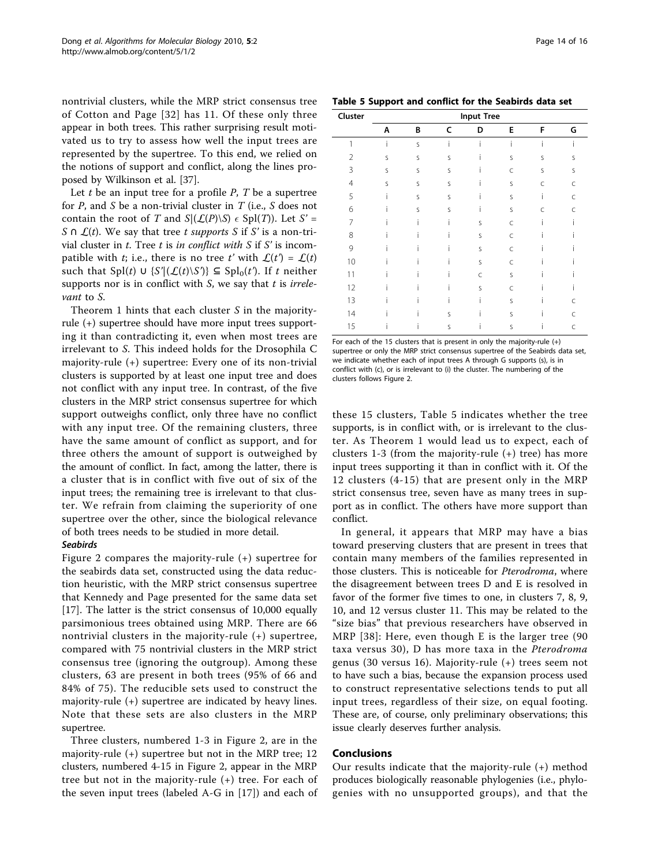nontrivial clusters, while the MRP strict consensus tree of Cotton and Page [[32\]](#page-14-0) has 11. Of these only three appear in both trees. This rather surprising result motivated us to try to assess how well the input trees are represented by the supertree. To this end, we relied on the notions of support and conflict, along the lines proposed by Wilkinson et al. [[37\]](#page-15-0).

Let t be an input tree for a profile  $P$ ,  $T$  be a supertree for P, and S be a non-trivial cluster in  $T$  (i.e., S does not contain the root of T and  $S((\mathcal{L}(P)\backslash S) \in Spl(T))$ . Let  $S' =$ S  $\cap$   $\mathcal{L}(t)$ . We say that tree t supports S if S' is a non-trivial cluster in  $t$ . Tree  $t$  is in conflict with  $S$  if  $S'$  is incompatible with t; i.e., there is no tree t' with  $\mathcal{L}(t') = \mathcal{L}(t)$ such that Spl(t) ∪  $\{S' | (\mathcal{L}(t) \setminus S') \}$  ⊆ Spl<sub>0</sub>(t'). If t neither supports nor is in conflict with  $S$ , we say that  $t$  is *irrele*vant to S.

Theorem 1 hints that each cluster S in the majorityrule (+) supertree should have more input trees supporting it than contradicting it, even when most trees are irrelevant to S. This indeed holds for the Drosophila C majority-rule (+) supertree: Every one of its non-trivial clusters is supported by at least one input tree and does not conflict with any input tree. In contrast, of the five clusters in the MRP strict consensus supertree for which support outweighs conflict, only three have no conflict with any input tree. Of the remaining clusters, three have the same amount of conflict as support, and for three others the amount of support is outweighed by the amount of conflict. In fact, among the latter, there is a cluster that is in conflict with five out of six of the input trees; the remaining tree is irrelevant to that cluster. We refrain from claiming the superiority of one supertree over the other, since the biological relevance of both trees needs to be studied in more detail.

## Seabirds

Figure [2](#page-12-0) compares the majority-rule (+) supertree for the seabirds data set, constructed using the data reduction heuristic, with the MRP strict consensus supertree that Kennedy and Page presented for the same data set [[17\]](#page-14-0). The latter is the strict consensus of 10,000 equally parsimonious trees obtained using MRP. There are 66 nontrivial clusters in the majority-rule (+) supertree, compared with 75 nontrivial clusters in the MRP strict consensus tree (ignoring the outgroup). Among these clusters, 63 are present in both trees (95% of 66 and 84% of 75). The reducible sets used to construct the majority-rule (+) supertree are indicated by heavy lines. Note that these sets are also clusters in the MRP supertree.

Three clusters, numbered 1-3 in Figure [2](#page-12-0), are in the majority-rule (+) supertree but not in the MRP tree; 12 clusters, numbered 4-15 in Figure [2,](#page-12-0) appear in the MRP tree but not in the majority-rule (+) tree. For each of the seven input trees (labeled A-G in [\[17](#page-14-0)]) and each of

Table 5 Support and conflict for the Seabirds data set

| Cluster<br><b>Input Tree</b> |   |   |   |   |              |              |   |
|------------------------------|---|---|---|---|--------------|--------------|---|
|                              | Α | B | C | D | E            | F            | G |
| 1                            | i | S | i | i | i            | i            |   |
| $\overline{2}$               | S | S | S |   | S            | S            | S |
| 3                            | S | S | S |   | $\mathsf{C}$ | S            | S |
| 4                            | S | S | S |   | S            | $\mathsf{C}$ | C |
| 5                            | i | S | S |   | S            | i            | C |
| 6                            |   | S | S |   | S            | C            | C |
| 7                            |   |   |   | S | $\mathsf{C}$ |              |   |
| 8                            |   |   |   | S | $\mathsf{C}$ |              |   |
| 9                            |   |   |   | S | $\mathsf{C}$ |              |   |
| 10                           |   |   |   | S | $\mathsf{C}$ |              |   |
| 11                           |   |   |   | C | S            |              |   |
| 12                           |   |   |   | S | $\subset$    |              |   |
| 13                           |   |   |   |   | S            |              | C |
| 14                           |   |   | S |   | S            |              | C |
| 15                           |   |   | S |   | S            |              | C |

For each of the 15 clusters that is present in only the majority-rule (+) supertree or only the MRP strict consensus supertree of the Seabirds data set, we indicate whether each of input trees A through G supports (s), is in conflict with (c), or is irrelevant to (i) the cluster. The numbering of the clusters follows Figure 2.

these 15 clusters, Table 5 indicates whether the tree supports, is in conflict with, or is irrelevant to the cluster. As Theorem 1 would lead us to expect, each of clusters 1-3 (from the majority-rule (+) tree) has more input trees supporting it than in conflict with it. Of the 12 clusters (4-15) that are present only in the MRP strict consensus tree, seven have as many trees in support as in conflict. The others have more support than conflict.

In general, it appears that MRP may have a bias toward preserving clusters that are present in trees that contain many members of the families represented in those clusters. This is noticeable for *Pterodroma*, where the disagreement between trees D and E is resolved in favor of the former five times to one, in clusters 7, 8, 9, 10, and 12 versus cluster 11. This may be related to the "size bias" that previous researchers have observed in MRP [[38\]](#page-15-0): Here, even though E is the larger tree (90 taxa versus 30), D has more taxa in the Pterodroma genus (30 versus 16). Majority-rule (+) trees seem not to have such a bias, because the expansion process used to construct representative selections tends to put all input trees, regardless of their size, on equal footing. These are, of course, only preliminary observations; this issue clearly deserves further analysis.

## Conclusions

Our results indicate that the majority-rule (+) method produces biologically reasonable phylogenies (i.e., phylogenies with no unsupported groups), and that the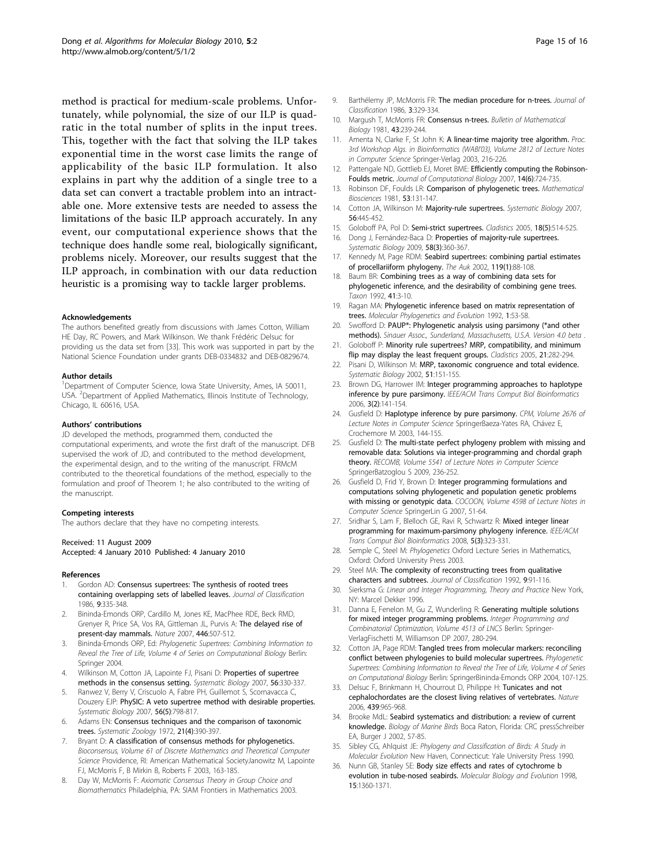<span id="page-14-0"></span>method is practical for medium-scale problems. Unfortunately, while polynomial, the size of our ILP is quadratic in the total number of splits in the input trees. This, together with the fact that solving the ILP takes exponential time in the worst case limits the range of applicability of the basic ILP formulation. It also explains in part why the addition of a single tree to a data set can convert a tractable problem into an intractable one. More extensive tests are needed to assess the limitations of the basic ILP approach accurately. In any event, our computational experience shows that the technique does handle some real, biologically significant, problems nicely. Moreover, our results suggest that the ILP approach, in combination with our data reduction heuristic is a promising way to tackle larger problems.

#### Acknowledgements

The authors benefited greatly from discussions with James Cotton, William HE Day, RC Powers, and Mark Wilkinson. We thank Frédéric Delsuc for providing us the data set from [33]. This work was supported in part by the National Science Foundation under grants DEB-0334832 and DEB-0829674.

#### Author details

<sup>1</sup>Department of Computer Science, Iowa State University, Ames, IA 50011, USA. <sup>2</sup>Department of Applied Mathematics, Illinois Institute of Technology, Chicago, IL 60616, USA.

#### Authors' contributions

JD developed the methods, programmed them, conducted the computational experiments, and wrote the first draft of the manuscript. DFB supervised the work of JD, and contributed to the method development, the experimental design, and to the writing of the manuscript. FRMcM contributed to the theoretical foundations of the method, especially to the formulation and proof of Theorem 1; he also contributed to the writing of the manuscript.

#### Competing interests

The authors declare that they have no competing interests.

#### Received: 11 August 2009

Accepted: 4 January 2010 Published: 4 January 2010

#### References

- 1. Gordon AD: Consensus supertrees: The synthesis of rooted trees containing overlapping sets of labelled leaves. Journal of Classification 1986, 9:335-348.
- 2. Bininda-Emonds ORP, Cardillo M, Jones KE, MacPhee RDE, Beck RMD, Grenyer R, Price SA, Vos RA, Gittleman JL, Purvis A: [The delayed rise of](http://www.ncbi.nlm.nih.gov/pubmed/17392779?dopt=Abstract) [present-day mammals.](http://www.ncbi.nlm.nih.gov/pubmed/17392779?dopt=Abstract) Nature 2007, 446:507-512.
- 3. Bininda-Emonds ORP, Ed: Phylogenetic Supertrees: Combining Information to Reveal the Tree of Life, Volume 4 of Series on Computational Biology Berlin: Springer 2004.
- 4. Wilkinson M, Cotton JA, Lapointe FJ, Pisani D: [Properties of supertree](http://www.ncbi.nlm.nih.gov/pubmed/17464887?dopt=Abstract) [methods in the consensus setting.](http://www.ncbi.nlm.nih.gov/pubmed/17464887?dopt=Abstract) Systematic Biology 2007, 56:330-337.
- Ranwez V, Berry V, Criscuolo A, Fabre PH, Guillemot S, Scornavacca C, Douzery EJP: [PhySIC: A veto supertree method with desirable properties.](http://www.ncbi.nlm.nih.gov/pubmed/17918032?dopt=Abstract) Systematic Biology 2007, 56(5):798-817.
- 6. Adams EN: Consensus techniques and the comparison of taxonomic trees. Systematic Zoology 1972, 21(4):390-397.
- 7. Bryant D: A classification of consensus methods for phylogenetics. Bioconsensus, Volume 61 of Discrete Mathematics and Theoretical Computer Science Providence, RI: American Mathematical SocietyJanowitz M, Lapointe FJ, McMorris F, B Mirkin B, Roberts F 2003, 163-185.
- Day W, McMorris F: Axiomatic Consensus Theory in Group Choice and Biomathematics Philadelphia, PA: SIAM Frontiers in Mathematics 2003.
- 9. Barthélemy JP, McMorris FR: The median procedure for n-trees. Journal of Classification 1986, 3:329-334.
- 10. Margush T, McMorris FR: Consensus n-trees. Bulletin of Mathematical Biology 1981, 43:239-244.
- 11. Amenta N, Clarke F, St John K: A linear-time majority tree algorithm. Proc. 3rd Workshop Algs. in Bioinformatics (WABI'03), Volume 2812 of Lecture Notes in Computer Science Springer-Verlag 2003, 216-226.
- 12. Pattengale ND, Gottlieb EJ, Moret BME: [Efficiently computing the Robinson-](http://www.ncbi.nlm.nih.gov/pubmed/17691890?dopt=Abstract)[Foulds metric.](http://www.ncbi.nlm.nih.gov/pubmed/17691890?dopt=Abstract) Journal of Computational Biology 2007, 14(6):724-735.
- 13. Robinson DF, Foulds LR: Comparison of phylogenetic trees. Mathematical Biosciences 1981, 53:131-147.
- 14. Cotton JA, Wilkinson M: [Majority-rule supertrees.](http://www.ncbi.nlm.nih.gov/pubmed/17558966?dopt=Abstract) Systematic Biology 2007, 56:445-452.
- 15. Goloboff PA, Pol D: Semi-strict supertrees. Cladistics 2005, 18(5):514-525.
- 16. Dong J, Fernández-Baca D: Properties of majority-rule supertrees. Systematic Biology 2009, 58(3):360-367.
- 17. Kennedy M, Page RDM: Seabird supertrees: combining partial estimates of procellariiform phylogeny. The Auk 2002, 119(1):88-108.
- 18. Baum BR: Combining trees as a way of combining data sets for phylogenetic inference, and the desirability of combining gene trees. Taxon 1992, 41:3-10.
- 19. Ragan MA: [Phylogenetic inference based on matrix representation of](http://www.ncbi.nlm.nih.gov/pubmed/1342924?dopt=Abstract) [trees.](http://www.ncbi.nlm.nih.gov/pubmed/1342924?dopt=Abstract) Molecular Phylogenetics and Evolution 1992, 1:53-58.
- 20. Swofford D: PAUP\*: Phylogenetic analysis using parsimony (\*and other methods). Sinauer Assoc., Sunderland, Massachusetts, U.S.A. Version 4.0 beta
- 21. Goloboff P: Minority rule supertrees? MRP, compatibility, and minimum flip may display the least frequent groups. Cladistics 2005, 21:282-294.
- 22. Pisani D, Wilkinson M: [MRP, taxonomic congruence and total evidence.](http://www.ncbi.nlm.nih.gov/pubmed/11943097?dopt=Abstract) Systematic Biology 2002, 51:151-155.
- 23. Brown DG, Harrower IM: Integer programming approaches to haplotype inference by pure parsimony. IEEE/ACM Trans Comput Biol Bioinformatics 2006, 3(2):141-154.
- 24. Gusfield D: Haplotype inference by pure parsimony. CPM, Volume 2676 of Lecture Notes in Computer Science SpringerBaeza-Yates RA, Chávez E, Crochemore M 2003, 144-155.
- 25. Gusfield D: The multi-state perfect phylogeny problem with missing and removable data: Solutions via integer-programming and chordal graph theory. RECOMB, Volume 5541 of Lecture Notes in Computer Science SpringerBatzoglou S 2009, 236-252.
- 26. Gusfield D, Frid Y, Brown D: Integer programming formulations and computations solving phylogenetic and population genetic problems with missing or genotypic data. COCOON, Volume 4598 of Lecture Notes in Computer Science SpringerLin G 2007, 51-64.
- 27. Sridhar S, Lam F, Blelloch GE, Ravi R, Schwartz R: Mixed integer linear programming for maximum-parsimony phylogeny inference. IEEE/ACM Trans Comput Biol Bioinformatics 2008, 5(3):323-331.
- 28. Semple C, Steel M: Phylogenetics Oxford Lecture Series in Mathematics, Oxford: Oxford University Press 2003.
- 29. Steel MA: The complexity of reconstructing trees from qualitative characters and subtrees. Journal of Classification 1992, 9:91-116.
- 30. Sierksma G: Linear and Integer Programming, Theory and Practice New York, NY: Marcel Dekker 1996.
- 31. Danna E, Fenelon M, Gu Z, Wunderling R: Generating multiple solutions for mixed integer programming problems. Integer Programming and Combinatorial Optimization, Volume 4513 of LNCS Berlin: Springer-VerlagFischetti M, Williamson DP 2007, 280-294.
- 32. Cotton JA, Page RDM: Tangled trees from molecular markers: reconciling conflict between phylogenies to build molecular supertrees. Phylogenetic Supertrees: Combining Information to Reveal the Tree of Life, Volume 4 of Series on Computational Biology Berlin: SpringerBininda-Emonds ORP 2004, 107-125.
- 33. Delsuc F, Brinkmann H, Chourrout D, Philippe H: [Tunicates and not](http://www.ncbi.nlm.nih.gov/pubmed/16495997?dopt=Abstract) [cephalochordates are the closest living relatives of vertebrates.](http://www.ncbi.nlm.nih.gov/pubmed/16495997?dopt=Abstract) Nature 2006, 439:965-968.
- 34. Brooke MdL: Seabird systematics and distribution: a review of current knowledge. Biology of Marine Birds Boca Raton, Florida: CRC pressSchreiber EA, Burger J 2002, 57-85.
- 35. Sibley CG, Ahlquist JE: Phylogeny and Classification of Birds: A Study in Molecular Evolution New Haven, Connecticut: Yale University Press 1990.
- 36. Nunn GB, Stanley SE: [Body size effects and rates of cytochrome b](http://www.ncbi.nlm.nih.gov/pubmed/9787440?dopt=Abstract) [evolution in tube-nosed seabirds.](http://www.ncbi.nlm.nih.gov/pubmed/9787440?dopt=Abstract) Molecular Biology and Evolution 1998, 15:1360-1371.